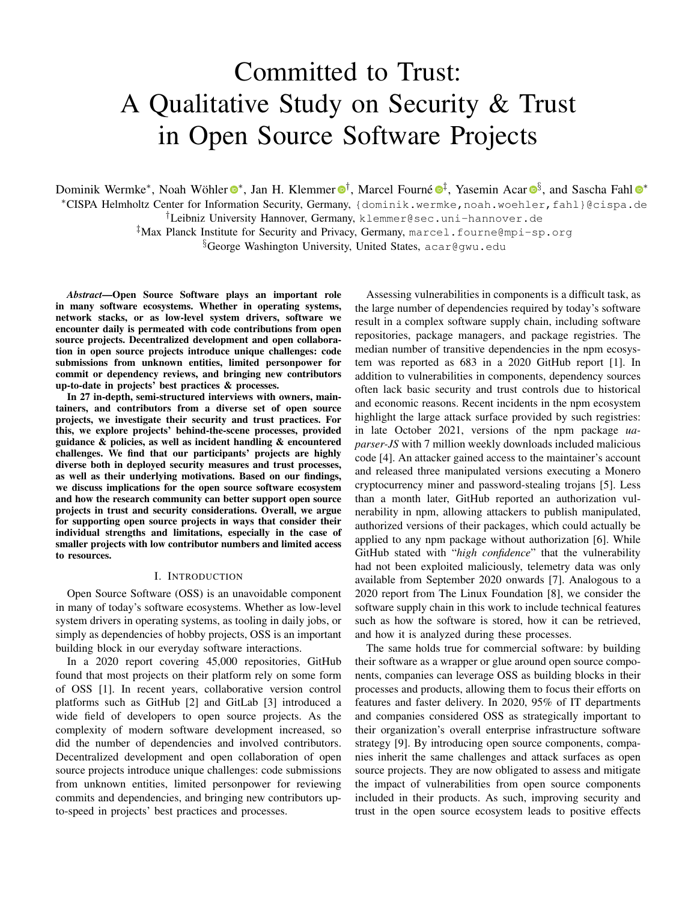# Committed to Trust: A Qualitative Study on Security & Trust in Open Source Software Projects

Dominik Wermke\*, Noah Wöhler <sup>®</sup>\*, Jan H. Klemmer ®<sup>[†](https://orcid.org/0000-0002-6994-7206)</sup>, Marcel Fourné ®<sup>[‡](https://orcid.org/0000-0003-4442-0085)</sup>, Yasemin Acar ®<sup>[§](https://orcid.org/0000-0001-7167-7383)</sup>, and Sascha Fahl ®\*

<sup>∗</sup>CISPA Helmholtz Center for Information Security, Germany, [{dominik.wermke,](mailto:dominik.wermke@cispa.de)[noah.woehler](mailto:noah.woehler@cispa.de)[,fahl}](mailto:fahl@cispa.de)@cispa.de

†Leibniz University Hannover, Germany, [klemmer@sec.uni-hannover.de](mailto:klemmer@sec.uni-hannover.de)

‡Max Planck Institute for Security and Privacy, Germany, [marcel.fourne@mpi-sp.org](mailto:marcel.fourne@mpi-sp.org)

§George Washington University, United States, [acar@gwu.edu](mailto:acar@gwu.edu)

*Abstract*—Open Source Software plays an important role in many software ecosystems. Whether in operating systems, network stacks, or as low-level system drivers, software we encounter daily is permeated with code contributions from open source projects. Decentralized development and open collaboration in open source projects introduce unique challenges: code submissions from unknown entities, limited personpower for commit or dependency reviews, and bringing new contributors up-to-date in projects' best practices & processes.

In 27 in-depth, semi-structured interviews with owners, maintainers, and contributors from a diverse set of open source projects, we investigate their security and trust practices. For this, we explore projects' behind-the-scene processes, provided guidance & policies, as well as incident handling & encountered challenges. We find that our participants' projects are highly diverse both in deployed security measures and trust processes, as well as their underlying motivations. Based on our findings, we discuss implications for the open source software ecosystem and how the research community can better support open source projects in trust and security considerations. Overall, we argue for supporting open source projects in ways that consider their individual strengths and limitations, especially in the case of smaller projects with low contributor numbers and limited access to resources.

#### I. INTRODUCTION

<span id="page-0-0"></span>Open Source Software (OSS) is an unavoidable component in many of today's software ecosystems. Whether as low-level system drivers in operating systems, as tooling in daily jobs, or simply as dependencies of hobby projects, OSS is an important building block in our everyday software interactions.

In a 2020 report covering 45,000 repositories, GitHub found that most projects on their platform rely on some form of OSS [\[1\]](#page-12-0). In recent years, collaborative version control platforms such as GitHub [\[2\]](#page-12-1) and GitLab [\[3\]](#page-12-2) introduced a wide field of developers to open source projects. As the complexity of modern software development increased, so did the number of dependencies and involved contributors. Decentralized development and open collaboration of open source projects introduce unique challenges: code submissions from unknown entities, limited personpower for reviewing commits and dependencies, and bringing new contributors upto-speed in projects' best practices and processes.

Assessing vulnerabilities in components is a difficult task, as the large number of dependencies required by today's software result in a complex software supply chain, including software repositories, package managers, and package registries. The median number of transitive dependencies in the npm ecosystem was reported as 683 in a 2020 GitHub report [\[1\]](#page-12-0). In addition to vulnerabilities in components, dependency sources often lack basic security and trust controls due to historical and economic reasons. Recent incidents in the npm ecosystem highlight the large attack surface provided by such registries: in late October 2021, versions of the npm package *uaparser-JS* with 7 million weekly downloads included malicious code [\[4\]](#page-12-3). An attacker gained access to the maintainer's account and released three manipulated versions executing a Monero cryptocurrency miner and password-stealing trojans [\[5\]](#page-12-4). Less than a month later, GitHub reported an authorization vulnerability in npm, allowing attackers to publish manipulated, authorized versions of their packages, which could actually be applied to any npm package without authorization [\[6\]](#page-12-5). While GitHub stated with "*high confidence*" that the vulnerability had not been exploited maliciously, telemetry data was only available from September 2020 onwards [\[7\]](#page-12-6). Analogous to a 2020 report from The Linux Foundation [\[8\]](#page-12-7), we consider the software supply chain in this work to include technical features such as how the software is stored, how it can be retrieved, and how it is analyzed during these processes.

The same holds true for commercial software: by building their software as a wrapper or glue around open source components, companies can leverage OSS as building blocks in their processes and products, allowing them to focus their efforts on features and faster delivery. In 2020, 95% of IT departments and companies considered OSS as strategically important to their organization's overall enterprise infrastructure software strategy [\[9\]](#page-12-8). By introducing open source components, companies inherit the same challenges and attack surfaces as open source projects. They are now obligated to assess and mitigate the impact of vulnerabilities from open source components included in their products. As such, improving security and trust in the open source ecosystem leads to positive effects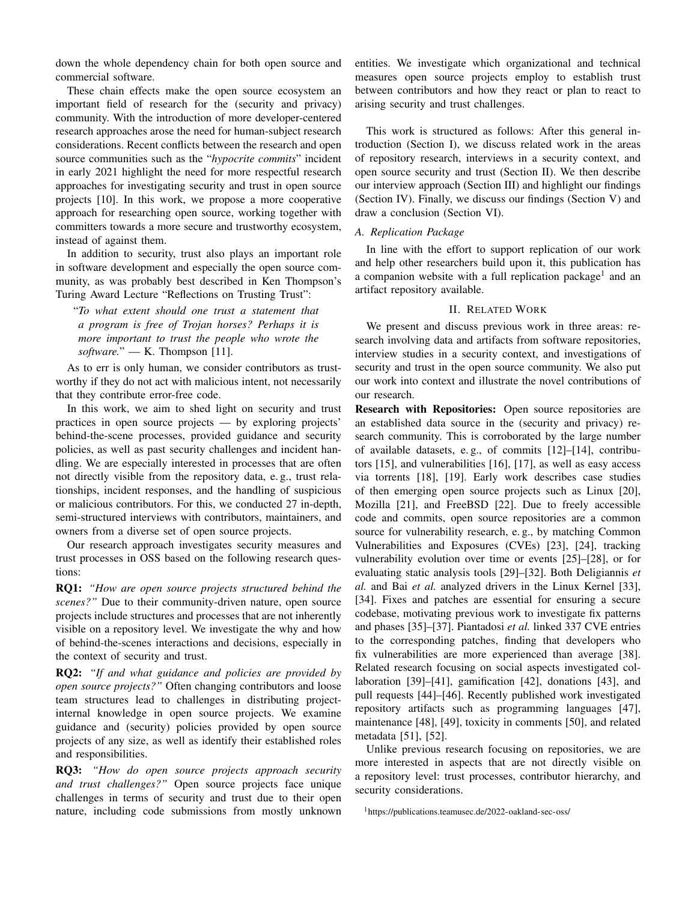down the whole dependency chain for both open source and commercial software.

These chain effects make the open source ecosystem an important field of research for the (security and privacy) community. With the introduction of more developer-centered research approaches arose the need for human-subject research considerations. Recent conflicts between the research and open source communities such as the "*hypocrite commits*" incident in early 2021 highlight the need for more respectful research approaches for investigating security and trust in open source projects [\[10\]](#page-13-0). In this work, we propose a more cooperative approach for researching open source, working together with committers towards a more secure and trustworthy ecosystem, instead of against them.

In addition to security, trust also plays an important role in software development and especially the open source community, as was probably best described in Ken Thompson's Turing Award Lecture "Reflections on Trusting Trust":

"*To what extent should one trust a statement that a program is free of Trojan horses? Perhaps it is more important to trust the people who wrote the software.*" — K. Thompson [\[11\]](#page-13-1).

As to err is only human, we consider contributors as trustworthy if they do not act with malicious intent, not necessarily that they contribute error-free code.

In this work, we aim to shed light on security and trust practices in open source projects — by exploring projects' behind-the-scene processes, provided guidance and security policies, as well as past security challenges and incident handling. We are especially interested in processes that are often not directly visible from the repository data, e. g., trust relationships, incident responses, and the handling of suspicious or malicious contributors. For this, we conducted 27 in-depth, semi-structured interviews with contributors, maintainers, and owners from a diverse set of open source projects.

Our research approach investigates security measures and trust processes in OSS based on the following research questions:

RQ1: *"How are open source projects structured behind the scenes?"* Due to their community-driven nature, open source projects include structures and processes that are not inherently visible on a repository level. We investigate the why and how of behind-the-scenes interactions and decisions, especially in the context of security and trust.

RQ2: *"If and what guidance and policies are provided by open source projects?"* Often changing contributors and loose team structures lead to challenges in distributing projectinternal knowledge in open source projects. We examine guidance and (security) policies provided by open source projects of any size, as well as identify their established roles and responsibilities.

RQ3: *"How do open source projects approach security and trust challenges?"* Open source projects face unique challenges in terms of security and trust due to their open nature, including code submissions from mostly unknown

entities. We investigate which organizational and technical measures open source projects employ to establish trust between contributors and how they react or plan to react to arising security and trust challenges.

This work is structured as follows: After this general introduction (Section [I\)](#page-0-0), we discuss related work in the areas of repository research, interviews in a security context, and open source security and trust (Section [II\)](#page-1-0). We then describe our interview approach (Section [III\)](#page-2-0) and highlight our findings (Section [IV\)](#page-5-0). Finally, we discuss our findings (Section [V\)](#page-11-0) and draw a conclusion (Section [VI\)](#page-12-9).

## <span id="page-1-2"></span>*A. Replication Package*

In line with the effort to support replication of our work and help other researchers build upon it, this publication has a companion website with a full replication package<sup>[1](#page-1-1)</sup> and an artifact repository available.

## II. RELATED WORK

<span id="page-1-0"></span>We present and discuss previous work in three areas: research involving data and artifacts from software repositories, interview studies in a security context, and investigations of security and trust in the open source community. We also put our work into context and illustrate the novel contributions of our research.

Research with Repositories: Open source repositories are an established data source in the (security and privacy) research community. This is corroborated by the large number of available datasets, e. g., of commits [\[12\]](#page-13-2)–[\[14\]](#page-13-3), contributors [\[15\]](#page-13-4), and vulnerabilities [\[16\]](#page-13-5), [\[17\]](#page-13-6), as well as easy access via torrents [\[18\]](#page-13-7), [\[19\]](#page-13-8). Early work describes case studies of then emerging open source projects such as Linux [\[20\]](#page-13-9), Mozilla [\[21\]](#page-13-10), and FreeBSD [\[22\]](#page-13-11). Due to freely accessible code and commits, open source repositories are a common source for vulnerability research, e. g., by matching Common Vulnerabilities and Exposures (CVEs) [\[23\]](#page-13-12), [\[24\]](#page-13-13), tracking vulnerability evolution over time or events [\[25\]](#page-13-14)–[\[28\]](#page-13-15), or for evaluating static analysis tools [\[29\]](#page-13-16)–[\[32\]](#page-13-17). Both Deligiannis *et al.* and Bai *et al.* analyzed drivers in the Linux Kernel [\[33\]](#page-13-18), [\[34\]](#page-13-19). Fixes and patches are essential for ensuring a secure codebase, motivating previous work to investigate fix patterns and phases [\[35\]](#page-13-20)–[\[37\]](#page-13-21). Piantadosi *et al.* linked 337 CVE entries to the corresponding patches, finding that developers who fix vulnerabilities are more experienced than average [\[38\]](#page-13-22). Related research focusing on social aspects investigated collaboration [\[39\]](#page-13-23)–[\[41\]](#page-13-24), gamification [\[42\]](#page-13-25), donations [\[43\]](#page-13-26), and pull requests [\[44\]](#page-13-27)–[\[46\]](#page-14-0). Recently published work investigated repository artifacts such as programming languages [\[47\]](#page-14-1), maintenance [\[48\]](#page-14-2), [\[49\]](#page-14-3), toxicity in comments [\[50\]](#page-14-4), and related metadata [\[51\]](#page-14-5), [\[52\]](#page-14-6).

Unlike previous research focusing on repositories, we are more interested in aspects that are not directly visible on a repository level: trust processes, contributor hierarchy, and security considerations.

<span id="page-1-1"></span><sup>1</sup><https://publications.teamusec.de/2022-oakland-sec-oss/>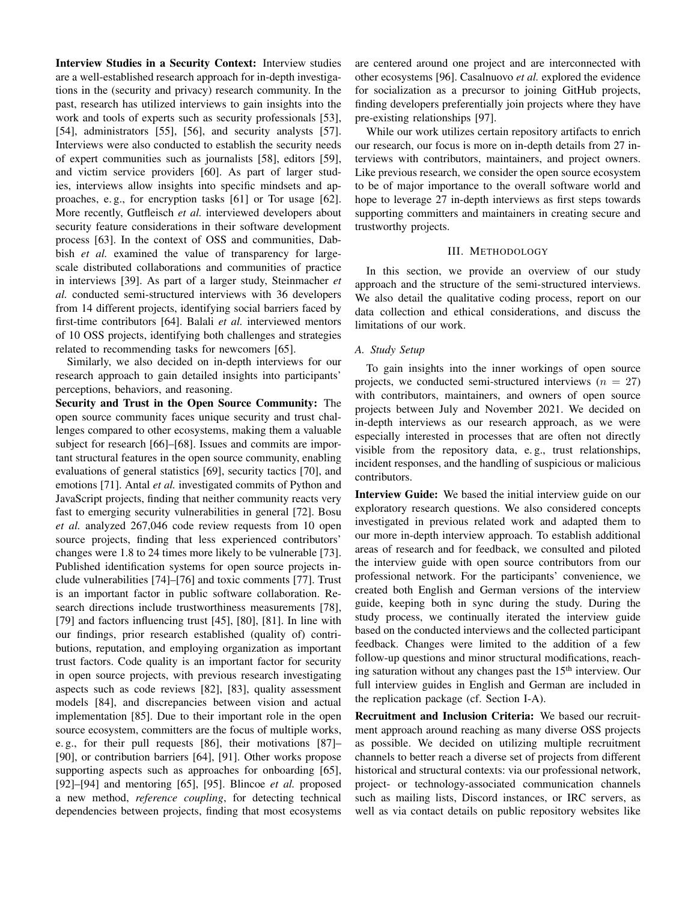Interview Studies in a Security Context: Interview studies are a well-established research approach for in-depth investigations in the (security and privacy) research community. In the past, research has utilized interviews to gain insights into the work and tools of experts such as security professionals [\[53\]](#page-14-7), [\[54\]](#page-14-8), administrators [\[55\]](#page-14-9), [\[56\]](#page-14-10), and security analysts [\[57\]](#page-14-11). Interviews were also conducted to establish the security needs of expert communities such as journalists [\[58\]](#page-14-12), editors [\[59\]](#page-14-13), and victim service providers [\[60\]](#page-14-14). As part of larger studies, interviews allow insights into specific mindsets and approaches, e. g., for encryption tasks [\[61\]](#page-14-15) or Tor usage [\[62\]](#page-14-16). More recently, Gutfleisch *et al.* interviewed developers about security feature considerations in their software development process [\[63\]](#page-14-17). In the context of OSS and communities, Dabbish *et al.* examined the value of transparency for largescale distributed collaborations and communities of practice in interviews [\[39\]](#page-13-23). As part of a larger study, Steinmacher *et al.* conducted semi-structured interviews with 36 developers from 14 different projects, identifying social barriers faced by first-time contributors [\[64\]](#page-14-18). Balali *et al.* interviewed mentors of 10 OSS projects, identifying both challenges and strategies related to recommending tasks for newcomers [\[65\]](#page-14-19).

Similarly, we also decided on in-depth interviews for our research approach to gain detailed insights into participants' perceptions, behaviors, and reasoning.

Security and Trust in the Open Source Community: The open source community faces unique security and trust challenges compared to other ecosystems, making them a valuable subject for research [\[66\]](#page-14-20)–[\[68\]](#page-14-21). Issues and commits are important structural features in the open source community, enabling evaluations of general statistics [\[69\]](#page-14-22), security tactics [\[70\]](#page-14-23), and emotions [\[71\]](#page-14-24). Antal *et al.* investigated commits of Python and JavaScript projects, finding that neither community reacts very fast to emerging security vulnerabilities in general [\[72\]](#page-14-25). Bosu *et al.* analyzed 267,046 code review requests from 10 open source projects, finding that less experienced contributors' changes were 1.8 to 24 times more likely to be vulnerable [\[73\]](#page-14-26). Published identification systems for open source projects include vulnerabilities [\[74\]](#page-14-27)–[\[76\]](#page-14-28) and toxic comments [\[77\]](#page-14-29). Trust is an important factor in public software collaboration. Research directions include trustworthiness measurements [\[78\]](#page-15-0), [\[79\]](#page-15-1) and factors influencing trust [\[45\]](#page-14-30), [\[80\]](#page-15-2), [\[81\]](#page-15-3). In line with our findings, prior research established (quality of) contributions, reputation, and employing organization as important trust factors. Code quality is an important factor for security in open source projects, with previous research investigating aspects such as code reviews [\[82\]](#page-15-4), [\[83\]](#page-15-5), quality assessment models [\[84\]](#page-15-6), and discrepancies between vision and actual implementation [\[85\]](#page-15-7). Due to their important role in the open source ecosystem, committers are the focus of multiple works, e. g., for their pull requests [\[86\]](#page-15-8), their motivations [\[87\]](#page-15-9)– [\[90\]](#page-15-10), or contribution barriers [\[64\]](#page-14-18), [\[91\]](#page-15-11). Other works propose supporting aspects such as approaches for onboarding [\[65\]](#page-14-19), [\[92\]](#page-15-12)–[\[94\]](#page-15-13) and mentoring [\[65\]](#page-14-19), [\[95\]](#page-15-14). Blincoe *et al.* proposed a new method, *reference coupling*, for detecting technical dependencies between projects, finding that most ecosystems

are centered around one project and are interconnected with other ecosystems [\[96\]](#page-15-15). Casalnuovo *et al.* explored the evidence for socialization as a precursor to joining GitHub projects, finding developers preferentially join projects where they have pre-existing relationships [\[97\]](#page-15-16).

While our work utilizes certain repository artifacts to enrich our research, our focus is more on in-depth details from 27 interviews with contributors, maintainers, and project owners. Like previous research, we consider the open source ecosystem to be of major importance to the overall software world and hope to leverage 27 in-depth interviews as first steps towards supporting committers and maintainers in creating secure and trustworthy projects.

#### III. METHODOLOGY

<span id="page-2-0"></span>In this section, we provide an overview of our study approach and the structure of the semi-structured interviews. We also detail the qualitative coding process, report on our data collection and ethical considerations, and discuss the limitations of our work.

#### <span id="page-2-1"></span>*A. Study Setup*

To gain insights into the inner workings of open source projects, we conducted semi-structured interviews ( $n = 27$ ) with contributors, maintainers, and owners of open source projects between July and November 2021. We decided on in-depth interviews as our research approach, as we were especially interested in processes that are often not directly visible from the repository data, e. g., trust relationships, incident responses, and the handling of suspicious or malicious contributors.

Interview Guide: We based the initial interview guide on our exploratory research questions. We also considered concepts investigated in previous related work and adapted them to our more in-depth interview approach. To establish additional areas of research and for feedback, we consulted and piloted the interview guide with open source contributors from our professional network. For the participants' convenience, we created both English and German versions of the interview guide, keeping both in sync during the study. During the study process, we continually iterated the interview guide based on the conducted interviews and the collected participant feedback. Changes were limited to the addition of a few follow-up questions and minor structural modifications, reaching saturation without any changes past the  $15<sup>th</sup>$  interview. Our full interview guides in English and German are included in the replication package (cf. Section [I-A\)](#page-1-2).

Recruitment and Inclusion Criteria: We based our recruitment approach around reaching as many diverse OSS projects as possible. We decided on utilizing multiple recruitment channels to better reach a diverse set of projects from different historical and structural contexts: via our professional network, project- or technology-associated communication channels such as mailing lists, Discord instances, or IRC servers, as well as via contact details on public repository websites like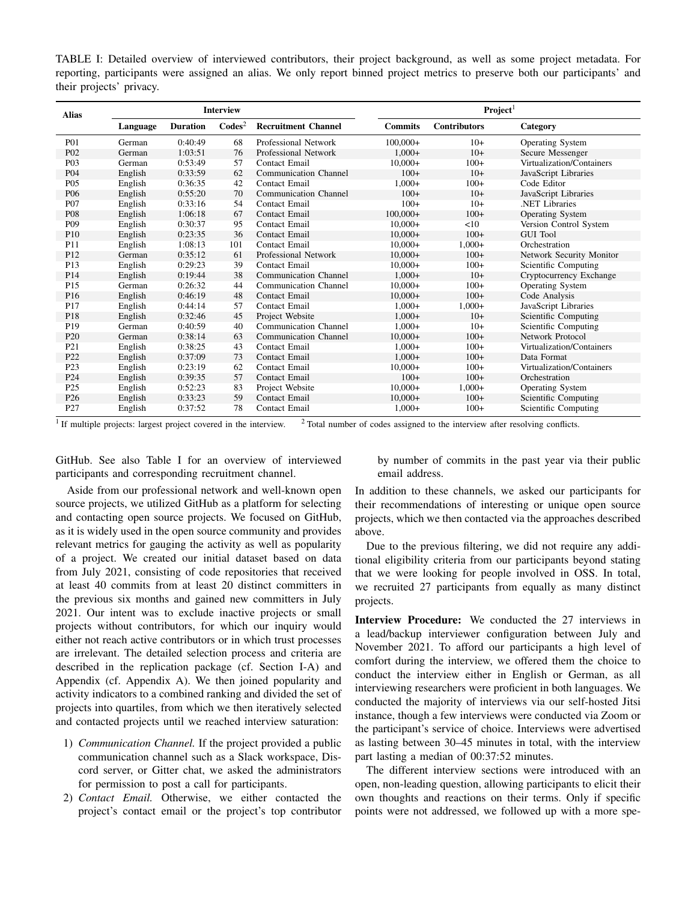<span id="page-3-0"></span>TABLE I: Detailed overview of interviewed contributors, their project background, as well as some project metadata. For reporting, participants were assigned an alias. We only report binned project metrics to preserve both our participants' and their projects' privacy.

| <b>Alias</b>     | <b>Interview</b> |                 |                  |                              | Project <sup>1</sup> |                     |                           |
|------------------|------------------|-----------------|------------------|------------------------------|----------------------|---------------------|---------------------------|
|                  | Language         | <b>Duration</b> | $\text{Codes}^2$ | <b>Recruitment Channel</b>   | <b>Commits</b>       | <b>Contributors</b> | Category                  |
| P <sub>0</sub> 1 | German           | 0:40:49         | 68               | Professional Network         | $100,000+$           | $10+$               | <b>Operating System</b>   |
| P <sub>02</sub>  | German           | 1:03:51         | 76               | Professional Network         | $1.000+$             | $10+$               | Secure Messenger          |
| P <sub>0</sub> 3 | German           | 0:53:49         | 57               | Contact Email                | $10,000+$            | $100+$              | Virtualization/Containers |
| P <sub>04</sub>  | English          | 0:33:59         | 62               | <b>Communication Channel</b> | $100+$               | $10+$               | JavaScript Libraries      |
| P <sub>05</sub>  | English          | 0:36:35         | 42               | <b>Contact Email</b>         | $1.000+$             | $100+$              | Code Editor               |
| P <sub>06</sub>  | English          | 0:55:20         | 70               | <b>Communication Channel</b> | $100+$               | $10+$               | JavaScript Libraries      |
| P <sub>07</sub>  | English          | 0:33:16         | 54               | <b>Contact Email</b>         | $100+$               | $10+$               | <b>NET Libraries</b>      |
| <b>P08</b>       | English          | 1:06:18         | 67               | <b>Contact Email</b>         | $100,000+$           | $100+$              | <b>Operating System</b>   |
| P <sub>09</sub>  | English          | 0:30:37         | 95               | <b>Contact Email</b>         | $10,000+$            | <10                 | Version Control System    |
| P10              | English          | 0:23:35         | 36               | <b>Contact Email</b>         | $10,000+$            | $100+$              | <b>GUI Tool</b>           |
| P11              | English          | 1:08:13         | 101              | <b>Contact Email</b>         | $10,000+$            | $1,000+$            | Orchestration             |
| P <sub>12</sub>  | German           | 0:35:12         | 61               | Professional Network         | $10,000+$            | $100+$              | Network Security Monitor  |
| P <sub>13</sub>  | English          | 0:29:23         | 39               | Contact Email                | $10,000+$            | $100+$              | Scientific Computing      |
| P14              | English          | 0:19:44         | 38               | <b>Communication Channel</b> | $1,000+$             | $10+$               | Cryptocurrency Exchange   |
| P <sub>15</sub>  | German           | 0:26:32         | 44               | <b>Communication Channel</b> | $10,000+$            | $100+$              | <b>Operating System</b>   |
| P <sub>16</sub>  | English          | 0:46:19         | 48               | <b>Contact Email</b>         | $10,000+$            | $100+$              | Code Analysis             |
| P17              | English          | 0:44:14         | 57               | <b>Contact Email</b>         | $1.000+$             | $1,000+$            | JavaScript Libraries      |
| P18              | English          | 0:32:46         | 45               | Project Website              | $1.000+$             | $10+$               | Scientific Computing      |
| P19              | German           | 0:40:59         | 40               | <b>Communication Channel</b> | $1,000+$             | $10+$               | Scientific Computing      |
| P <sub>20</sub>  | German           | 0:38:14         | 63               | <b>Communication Channel</b> | $10,000+$            | $100+$              | Network Protocol          |
| P21              | English          | 0:38:25         | 43               | <b>Contact Email</b>         | $1,000+$             | $100+$              | Virtualization/Containers |
| P <sub>22</sub>  | English          | 0:37:09         | 73               | <b>Contact Email</b>         | $1,000+$             | $100+$              | Data Format               |
| P <sub>23</sub>  | English          | 0:23:19         | 62               | <b>Contact Email</b>         | $10,000+$            | $100+$              | Virtualization/Containers |
| P <sub>24</sub>  | English          | 0:39:35         | 57               | <b>Contact Email</b>         | $100+$               | $100+$              | Orchestration             |
| P <sub>25</sub>  | English          | 0:52:23         | 83               | Project Website              | $10,000+$            | $1,000+$            | <b>Operating System</b>   |
| P <sub>26</sub>  | English          | 0:33:23         | 59               | <b>Contact Email</b>         | $10,000+$            | $100+$              | Scientific Computing      |
| P <sub>27</sub>  | English          | 0:37:52         | 78               | <b>Contact Email</b>         | $1,000+$             | $100+$              | Scientific Computing      |

<sup>1</sup> If multiple projects: largest project covered in the interview.  $2$  Total number of codes assigned to the interview after resolving conflicts.

GitHub. See also Table [I](#page-3-0) for an overview of interviewed participants and corresponding recruitment channel.

Aside from our professional network and well-known open source projects, we utilized GitHub as a platform for selecting and contacting open source projects. We focused on GitHub, as it is widely used in the open source community and provides relevant metrics for gauging the activity as well as popularity of a project. We created our initial dataset based on data from July 2021, consisting of code repositories that received at least 40 commits from at least 20 distinct committers in the previous six months and gained new committers in July 2021. Our intent was to exclude inactive projects or small projects without contributors, for which our inquiry would either not reach active contributors or in which trust processes are irrelevant. The detailed selection process and criteria are described in the replication package (cf. Section [I-A\)](#page-1-2) and Appendix (cf. Appendix [A\)](#page-15-17). We then joined popularity and activity indicators to a combined ranking and divided the set of projects into quartiles, from which we then iteratively selected and contacted projects until we reached interview saturation:

- 1) *Communication Channel.* If the project provided a public communication channel such as a Slack workspace, Discord server, or Gitter chat, we asked the administrators for permission to post a call for participants.
- 2) *Contact Email.* Otherwise, we either contacted the project's contact email or the project's top contributor

by number of commits in the past year via their public email address.

In addition to these channels, we asked our participants for their recommendations of interesting or unique open source projects, which we then contacted via the approaches described above.

Due to the previous filtering, we did not require any additional eligibility criteria from our participants beyond stating that we were looking for people involved in OSS. In total, we recruited 27 participants from equally as many distinct projects.

Interview Procedure: We conducted the 27 interviews in a lead/backup interviewer configuration between July and November 2021. To afford our participants a high level of comfort during the interview, we offered them the choice to conduct the interview either in English or German, as all interviewing researchers were proficient in both languages. We conducted the majority of interviews via our self-hosted Jitsi instance, though a few interviews were conducted via Zoom or the participant's service of choice. Interviews were advertised as lasting between 30–45 minutes in total, with the interview part lasting a median of 00:37:52 minutes.

The different interview sections were introduced with an open, non-leading question, allowing participants to elicit their own thoughts and reactions on their terms. Only if specific points were not addressed, we followed up with a more spe-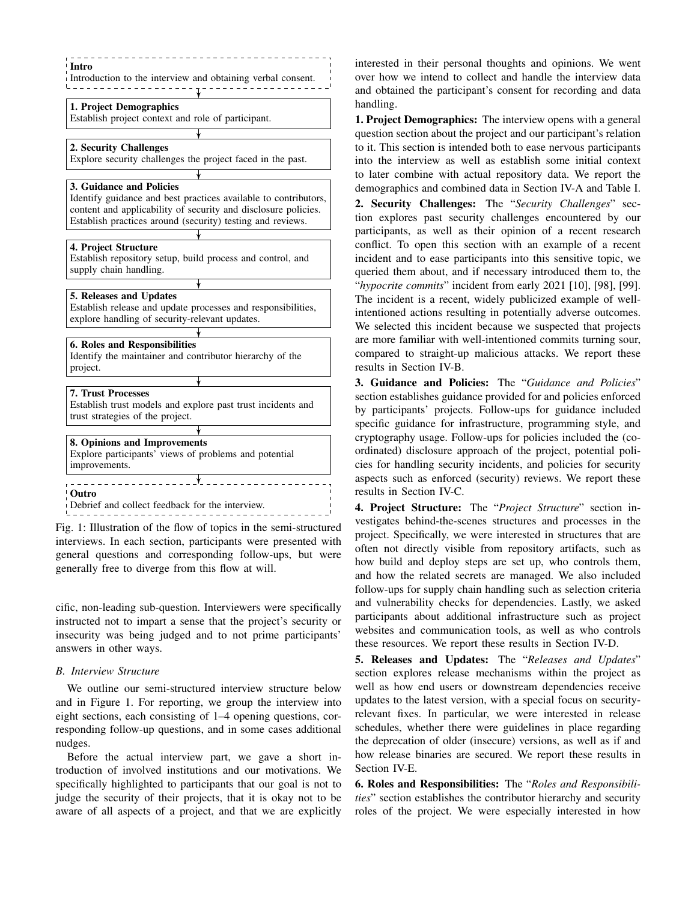<span id="page-4-0"></span>

Fig. 1: Illustration of the flow of topics in the semi-structured interviews. In each section, participants were presented with general questions and corresponding follow-ups, but were generally free to diverge from this flow at will.

cific, non-leading sub-question. Interviewers were specifically instructed not to impart a sense that the project's security or insecurity was being judged and to not prime participants' answers in other ways.

#### *B. Interview Structure*

We outline our semi-structured interview structure below and in Figure [1.](#page-4-0) For reporting, we group the interview into eight sections, each consisting of 1–4 opening questions, corresponding follow-up questions, and in some cases additional nudges.

Before the actual interview part, we gave a short introduction of involved institutions and our motivations. We specifically highlighted to participants that our goal is not to judge the security of their projects, that it is okay not to be aware of all aspects of a project, and that we are explicitly interested in their personal thoughts and opinions. We went over how we intend to collect and handle the interview data and obtained the participant's consent for recording and data handling.

1. Project Demographics: The interview opens with a general question section about the project and our participant's relation to it. This section is intended both to ease nervous participants into the interview as well as establish some initial context to later combine with actual repository data. We report the demographics and combined data in Section [IV-A](#page-6-0) and Table [I.](#page-3-0) 2. Security Challenges: The "*Security Challenges*" section explores past security challenges encountered by our participants, as well as their opinion of a recent research conflict. To open this section with an example of a recent incident and to ease participants into this sensitive topic, we queried them about, and if necessary introduced them to, the "*hypocrite commits*" incident from early 2021 [\[10\]](#page-13-0), [\[98\]](#page-15-18), [\[99\]](#page-15-19). The incident is a recent, widely publicized example of wellintentioned actions resulting in potentially adverse outcomes. We selected this incident because we suspected that projects are more familiar with well-intentioned commits turning sour, compared to straight-up malicious attacks. We report these results in Section [IV-B.](#page-6-1)

3. Guidance and Policies: The "*Guidance and Policies*" section establishes guidance provided for and policies enforced by participants' projects. Follow-ups for guidance included specific guidance for infrastructure, programming style, and cryptography usage. Follow-ups for policies included the (coordinated) disclosure approach of the project, potential policies for handling security incidents, and policies for security aspects such as enforced (security) reviews. We report these results in Section [IV-C.](#page-6-2)

4. Project Structure: The "*Project Structure*" section investigates behind-the-scenes structures and processes in the project. Specifically, we were interested in structures that are often not directly visible from repository artifacts, such as how build and deploy steps are set up, who controls them, and how the related secrets are managed. We also included follow-ups for supply chain handling such as selection criteria and vulnerability checks for dependencies. Lastly, we asked participants about additional infrastructure such as project websites and communication tools, as well as who controls these resources. We report these results in Section [IV-D.](#page-7-0)

5. Releases and Updates: The "*Releases and Updates*" section explores release mechanisms within the project as well as how end users or downstream dependencies receive updates to the latest version, with a special focus on securityrelevant fixes. In particular, we were interested in release schedules, whether there were guidelines in place regarding the deprecation of older (insecure) versions, as well as if and how release binaries are secured. We report these results in Section [IV-E.](#page-8-0)

6. Roles and Responsibilities: The "*Roles and Responsibilities*" section establishes the contributor hierarchy and security roles of the project. We were especially interested in how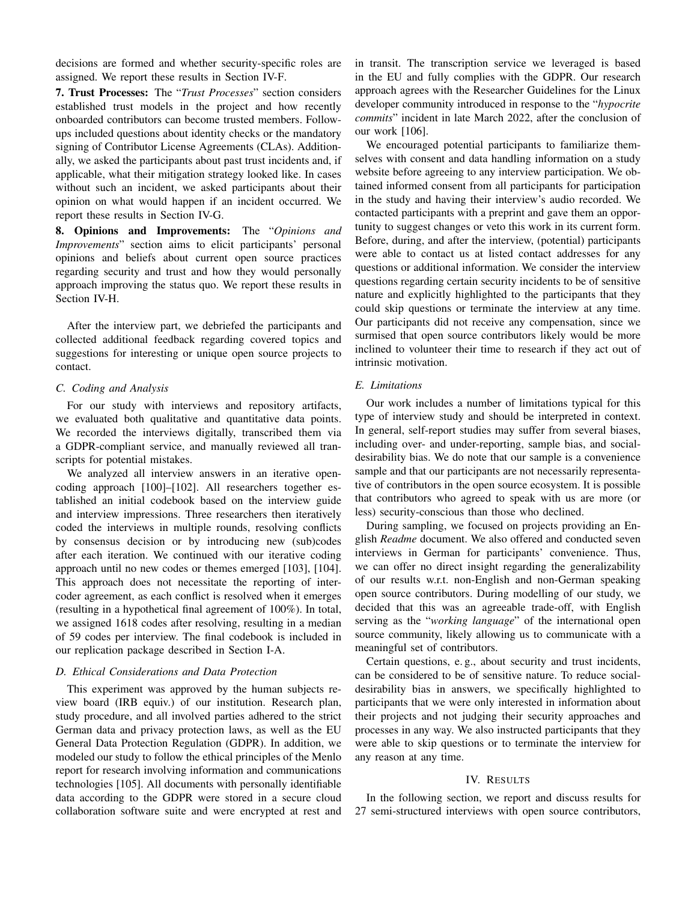decisions are formed and whether security-specific roles are assigned. We report these results in Section [IV-F.](#page-9-0)

7. Trust Processes: The "*Trust Processes*" section considers established trust models in the project and how recently onboarded contributors can become trusted members. Followups included questions about identity checks or the mandatory signing of Contributor License Agreements (CLAs). Additionally, we asked the participants about past trust incidents and, if applicable, what their mitigation strategy looked like. In cases without such an incident, we asked participants about their opinion on what would happen if an incident occurred. We report these results in Section [IV-G.](#page-10-0)

8. Opinions and Improvements: The "*Opinions and Improvements*" section aims to elicit participants' personal opinions and beliefs about current open source practices regarding security and trust and how they would personally approach improving the status quo. We report these results in Section [IV-H.](#page-11-1)

After the interview part, we debriefed the participants and collected additional feedback regarding covered topics and suggestions for interesting or unique open source projects to contact.

# *C. Coding and Analysis*

For our study with interviews and repository artifacts, we evaluated both qualitative and quantitative data points. We recorded the interviews digitally, transcribed them via a GDPR-compliant service, and manually reviewed all transcripts for potential mistakes.

We analyzed all interview answers in an iterative opencoding approach [\[100\]](#page-15-20)–[\[102\]](#page-15-21). All researchers together established an initial codebook based on the interview guide and interview impressions. Three researchers then iteratively coded the interviews in multiple rounds, resolving conflicts by consensus decision or by introducing new (sub)codes after each iteration. We continued with our iterative coding approach until no new codes or themes emerged [\[103\]](#page-15-22), [\[104\]](#page-15-23). This approach does not necessitate the reporting of intercoder agreement, as each conflict is resolved when it emerges (resulting in a hypothetical final agreement of 100%). In total, we assigned 1618 codes after resolving, resulting in a median of 59 codes per interview. The final codebook is included in our replication package described in Section [I-A.](#page-1-2)

# *D. Ethical Considerations and Data Protection*

This experiment was approved by the human subjects review board (IRB equiv.) of our institution. Research plan, study procedure, and all involved parties adhered to the strict German data and privacy protection laws, as well as the EU General Data Protection Regulation (GDPR). In addition, we modeled our study to follow the ethical principles of the Menlo report for research involving information and communications technologies [\[105\]](#page-15-24). All documents with personally identifiable data according to the GDPR were stored in a secure cloud collaboration software suite and were encrypted at rest and in transit. The transcription service we leveraged is based in the EU and fully complies with the GDPR. Our research approach agrees with the Researcher Guidelines for the Linux developer community introduced in response to the "*hypocrite commits*" incident in late March 2022, after the conclusion of our work [\[106\]](#page-15-25).

We encouraged potential participants to familiarize themselves with consent and data handling information on a study website before agreeing to any interview participation. We obtained informed consent from all participants for participation in the study and having their interview's audio recorded. We contacted participants with a preprint and gave them an opportunity to suggest changes or veto this work in its current form. Before, during, and after the interview, (potential) participants were able to contact us at listed contact addresses for any questions or additional information. We consider the interview questions regarding certain security incidents to be of sensitive nature and explicitly highlighted to the participants that they could skip questions or terminate the interview at any time. Our participants did not receive any compensation, since we surmised that open source contributors likely would be more inclined to volunteer their time to research if they act out of intrinsic motivation.

#### *E. Limitations*

Our work includes a number of limitations typical for this type of interview study and should be interpreted in context. In general, self-report studies may suffer from several biases, including over- and under-reporting, sample bias, and socialdesirability bias. We do note that our sample is a convenience sample and that our participants are not necessarily representative of contributors in the open source ecosystem. It is possible that contributors who agreed to speak with us are more (or less) security-conscious than those who declined.

During sampling, we focused on projects providing an English *Readme* document. We also offered and conducted seven interviews in German for participants' convenience. Thus, we can offer no direct insight regarding the generalizability of our results w.r.t. non-English and non-German speaking open source contributors. During modelling of our study, we decided that this was an agreeable trade-off, with English serving as the "*working language*" of the international open source community, likely allowing us to communicate with a meaningful set of contributors.

Certain questions, e. g., about security and trust incidents, can be considered to be of sensitive nature. To reduce socialdesirability bias in answers, we specifically highlighted to participants that we were only interested in information about their projects and not judging their security approaches and processes in any way. We also instructed participants that they were able to skip questions or to terminate the interview for any reason at any time.

#### IV. RESULTS

<span id="page-5-0"></span>In the following section, we report and discuss results for 27 semi-structured interviews with open source contributors,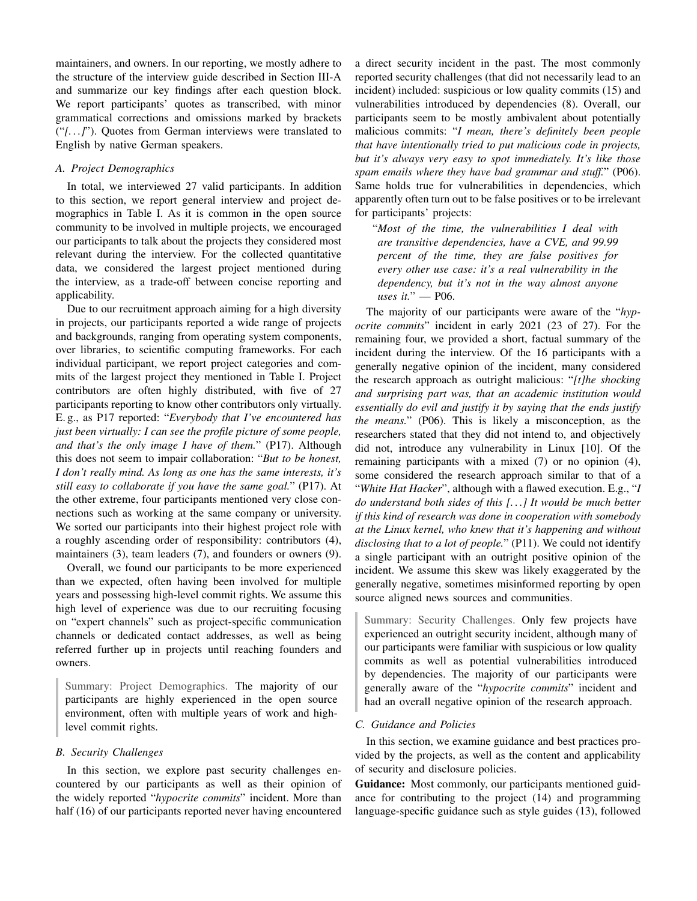maintainers, and owners. In our reporting, we mostly adhere to the structure of the interview guide described in Section [III-A](#page-2-1) and summarize our key findings after each question block. We report participants' quotes as transcribed, with minor grammatical corrections and omissions marked by brackets ("*[. . .]*"). Quotes from German interviews were translated to English by native German speakers.

## <span id="page-6-0"></span>*A. Project Demographics*

In total, we interviewed 27 valid participants. In addition to this section, we report general interview and project demographics in Table [I.](#page-3-0) As it is common in the open source community to be involved in multiple projects, we encouraged our participants to talk about the projects they considered most relevant during the interview. For the collected quantitative data, we considered the largest project mentioned during the interview, as a trade-off between concise reporting and applicability.

Due to our recruitment approach aiming for a high diversity in projects, our participants reported a wide range of projects and backgrounds, ranging from operating system components, over libraries, to scientific computing frameworks. For each individual participant, we report project categories and commits of the largest project they mentioned in Table [I.](#page-3-0) Project contributors are often highly distributed, with five of 27 participants reporting to know other contributors only virtually. E. g., as P17 reported: "*Everybody that I've encountered has just been virtually: I can see the profile picture of some people, and that's the only image I have of them.*" (P17). Although this does not seem to impair collaboration: "*But to be honest, I don't really mind. As long as one has the same interests, it's still easy to collaborate if you have the same goal.*" (P17). At the other extreme, four participants mentioned very close connections such as working at the same company or university. We sorted our participants into their highest project role with a roughly ascending order of responsibility: contributors (4), maintainers (3), team leaders (7), and founders or owners (9).

Overall, we found our participants to be more experienced than we expected, often having been involved for multiple years and possessing high-level commit rights. We assume this high level of experience was due to our recruiting focusing on "expert channels" such as project-specific communication channels or dedicated contact addresses, as well as being referred further up in projects until reaching founders and owners.

Summary: Project Demographics. The majority of our participants are highly experienced in the open source environment, often with multiple years of work and highlevel commit rights.

## <span id="page-6-1"></span>*B. Security Challenges*

In this section, we explore past security challenges encountered by our participants as well as their opinion of the widely reported "*hypocrite commits*" incident. More than half (16) of our participants reported never having encountered a direct security incident in the past. The most commonly reported security challenges (that did not necessarily lead to an incident) included: suspicious or low quality commits (15) and vulnerabilities introduced by dependencies (8). Overall, our participants seem to be mostly ambivalent about potentially malicious commits: "*I mean, there's definitely been people that have intentionally tried to put malicious code in projects, but it's always very easy to spot immediately. It's like those spam emails where they have bad grammar and stuff.*" (P06). Same holds true for vulnerabilities in dependencies, which apparently often turn out to be false positives or to be irrelevant for participants' projects:

"*Most of the time, the vulnerabilities I deal with are transitive dependencies, have a CVE, and 99.99 percent of the time, they are false positives for every other use case: it's a real vulnerability in the dependency, but it's not in the way almost anyone uses it.*" — P06.

The majority of our participants were aware of the "*hypocrite commits*" incident in early 2021 (23 of 27). For the remaining four, we provided a short, factual summary of the incident during the interview. Of the 16 participants with a generally negative opinion of the incident, many considered the research approach as outright malicious: "*[t]he shocking and surprising part was, that an academic institution would essentially do evil and justify it by saying that the ends justify the means.*" (P06). This is likely a misconception, as the researchers stated that they did not intend to, and objectively did not, introduce any vulnerability in Linux [\[10\]](#page-13-0). Of the remaining participants with a mixed (7) or no opinion (4), some considered the research approach similar to that of a "*White Hat Hacker*", although with a flawed execution. E.g., "*I do understand both sides of this [. . .] It would be much better if this kind of research was done in cooperation with somebody at the Linux kernel, who knew that it's happening and without disclosing that to a lot of people.*" (P11). We could not identify a single participant with an outright positive opinion of the incident. We assume this skew was likely exaggerated by the generally negative, sometimes misinformed reporting by open source aligned news sources and communities.

Summary: Security Challenges. Only few projects have experienced an outright security incident, although many of our participants were familiar with suspicious or low quality commits as well as potential vulnerabilities introduced by dependencies. The majority of our participants were generally aware of the "*hypocrite commits*" incident and had an overall negative opinion of the research approach.

#### <span id="page-6-2"></span>*C. Guidance and Policies*

In this section, we examine guidance and best practices provided by the projects, as well as the content and applicability of security and disclosure policies.

Guidance: Most commonly, our participants mentioned guidance for contributing to the project (14) and programming language-specific guidance such as style guides (13), followed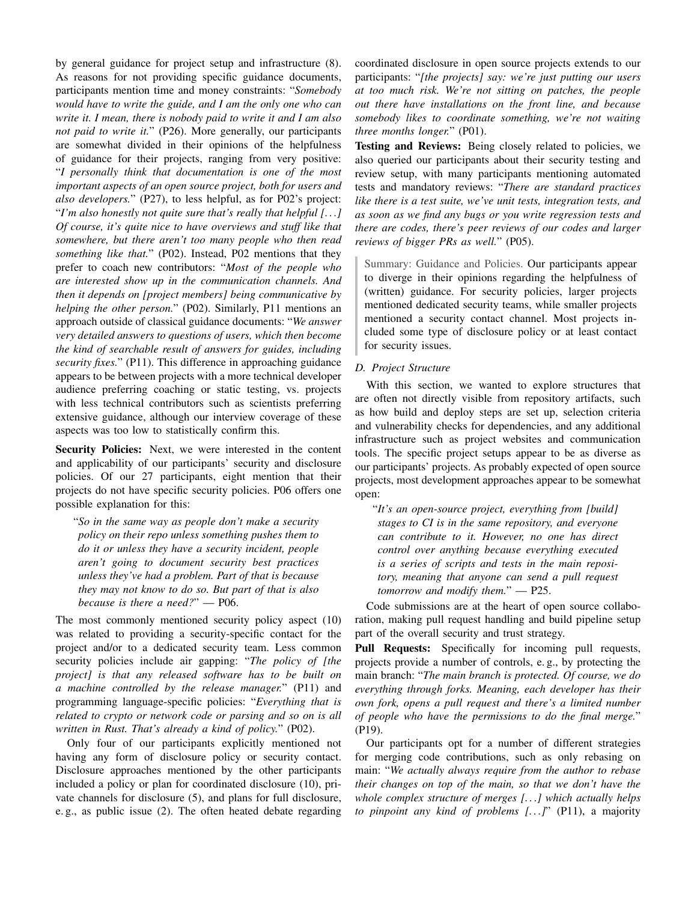by general guidance for project setup and infrastructure (8). As reasons for not providing specific guidance documents, participants mention time and money constraints: "*Somebody would have to write the guide, and I am the only one who can write it. I mean, there is nobody paid to write it and I am also not paid to write it.*" (P26). More generally, our participants are somewhat divided in their opinions of the helpfulness of guidance for their projects, ranging from very positive: "*I personally think that documentation is one of the most important aspects of an open source project, both for users and also developers.*" (P27), to less helpful, as for P02's project: "*I'm also honestly not quite sure that's really that helpful [. . .] Of course, it's quite nice to have overviews and stuff like that somewhere, but there aren't too many people who then read something like that.*" (P02). Instead, P02 mentions that they prefer to coach new contributors: "*Most of the people who are interested show up in the communication channels. And then it depends on [project members] being communicative by helping the other person.*" (P02). Similarly, P11 mentions an approach outside of classical guidance documents: "*We answer very detailed answers to questions of users, which then become the kind of searchable result of answers for guides, including security fixes.*" (P11). This difference in approaching guidance appears to be between projects with a more technical developer audience preferring coaching or static testing, vs. projects with less technical contributors such as scientists preferring extensive guidance, although our interview coverage of these aspects was too low to statistically confirm this.

Security Policies: Next, we were interested in the content and applicability of our participants' security and disclosure policies. Of our 27 participants, eight mention that their projects do not have specific security policies. P06 offers one possible explanation for this:

"*So in the same way as people don't make a security policy on their repo unless something pushes them to do it or unless they have a security incident, people aren't going to document security best practices unless they've had a problem. Part of that is because they may not know to do so. But part of that is also because is there a need?*" — P06.

The most commonly mentioned security policy aspect (10) was related to providing a security-specific contact for the project and/or to a dedicated security team. Less common security policies include air gapping: "*The policy of [the project] is that any released software has to be built on a machine controlled by the release manager.*" (P11) and programming language-specific policies: "*Everything that is related to crypto or network code or parsing and so on is all written in Rust. That's already a kind of policy.*" (P02).

Only four of our participants explicitly mentioned not having any form of disclosure policy or security contact. Disclosure approaches mentioned by the other participants included a policy or plan for coordinated disclosure (10), private channels for disclosure (5), and plans for full disclosure, e. g., as public issue (2). The often heated debate regarding coordinated disclosure in open source projects extends to our participants: "*[the projects] say: we're just putting our users at too much risk. We're not sitting on patches, the people out there have installations on the front line, and because somebody likes to coordinate something, we're not waiting three months longer.*" (P01).

Testing and Reviews: Being closely related to policies, we also queried our participants about their security testing and review setup, with many participants mentioning automated tests and mandatory reviews: "*There are standard practices like there is a test suite, we've unit tests, integration tests, and as soon as we find any bugs or you write regression tests and there are codes, there's peer reviews of our codes and larger reviews of bigger PRs as well.*" (P05).

Summary: Guidance and Policies. Our participants appear to diverge in their opinions regarding the helpfulness of (written) guidance. For security policies, larger projects mentioned dedicated security teams, while smaller projects mentioned a security contact channel. Most projects included some type of disclosure policy or at least contact for security issues.

## <span id="page-7-0"></span>*D. Project Structure*

With this section, we wanted to explore structures that are often not directly visible from repository artifacts, such as how build and deploy steps are set up, selection criteria and vulnerability checks for dependencies, and any additional infrastructure such as project websites and communication tools. The specific project setups appear to be as diverse as our participants' projects. As probably expected of open source projects, most development approaches appear to be somewhat open:

"*It's an open-source project, everything from [build] stages to CI is in the same repository, and everyone can contribute to it. However, no one has direct control over anything because everything executed is a series of scripts and tests in the main repository, meaning that anyone can send a pull request tomorrow and modify them.*" — P25.

Code submissions are at the heart of open source collaboration, making pull request handling and build pipeline setup part of the overall security and trust strategy.

Pull Requests: Specifically for incoming pull requests, projects provide a number of controls, e. g., by protecting the main branch: "*The main branch is protected. Of course, we do everything through forks. Meaning, each developer has their own fork, opens a pull request and there's a limited number of people who have the permissions to do the final merge.*" (P19).

Our participants opt for a number of different strategies for merging code contributions, such as only rebasing on main: "*We actually always require from the author to rebase their changes on top of the main, so that we don't have the whole complex structure of merges [. . .] which actually helps to pinpoint any kind of problems [. . .]*" (P11), a majority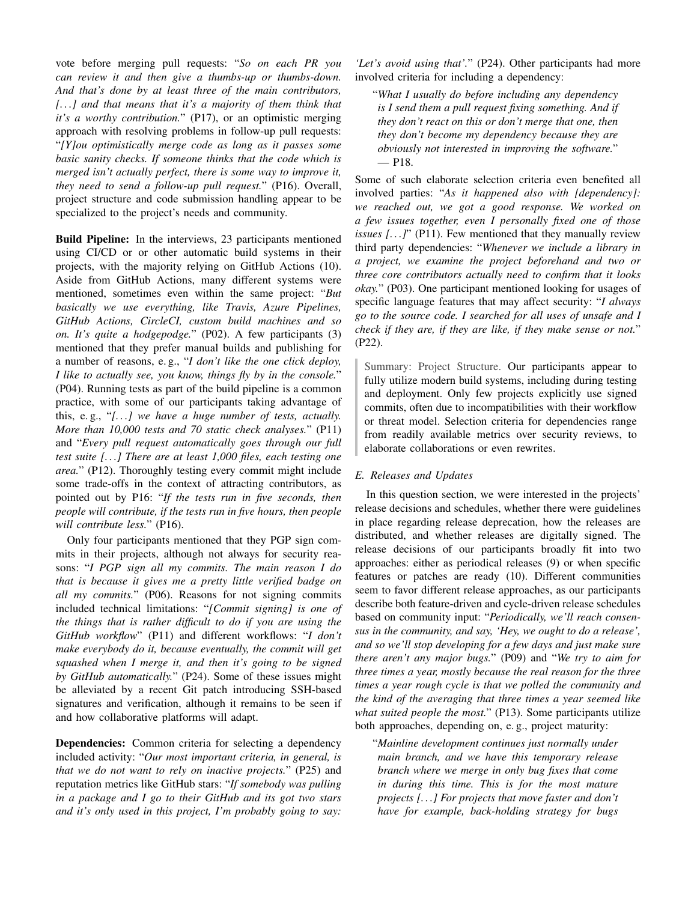vote before merging pull requests: "*So on each PR you can review it and then give a thumbs-up or thumbs-down. And that's done by at least three of the main contributors, [. . .] and that means that it's a majority of them think that it's a worthy contribution.*" (P17), or an optimistic merging approach with resolving problems in follow-up pull requests: "*[Y]ou optimistically merge code as long as it passes some basic sanity checks. If someone thinks that the code which is merged isn't actually perfect, there is some way to improve it, they need to send a follow-up pull request.*" (P16). Overall, project structure and code submission handling appear to be specialized to the project's needs and community.

Build Pipeline: In the interviews, 23 participants mentioned using CI/CD or or other automatic build systems in their projects, with the majority relying on GitHub Actions (10). Aside from GitHub Actions, many different systems were mentioned, sometimes even within the same project: "*But basically we use everything, like Travis, Azure Pipelines, GitHub Actions, CircleCI, custom build machines and so on. It's quite a hodgepodge.*" (P02). A few participants (3) mentioned that they prefer manual builds and publishing for a number of reasons, e. g., "*I don't like the one click deploy, I like to actually see, you know, things fly by in the console.*" (P04). Running tests as part of the build pipeline is a common practice, with some of our participants taking advantage of this, e. g., "*[. . .] we have a huge number of tests, actually. More than 10,000 tests and 70 static check analyses.*" (P11) and "*Every pull request automatically goes through our full test suite [. . .] There are at least 1,000 files, each testing one area.*" (P12). Thoroughly testing every commit might include some trade-offs in the context of attracting contributors, as pointed out by P16: "*If the tests run in five seconds, then people will contribute, if the tests run in five hours, then people will contribute less.*" (P16).

Only four participants mentioned that they PGP sign commits in their projects, although not always for security reasons: "*I PGP sign all my commits. The main reason I do that is because it gives me a pretty little verified badge on all my commits.*" (P06). Reasons for not signing commits included technical limitations: "*[Commit signing] is one of the things that is rather difficult to do if you are using the GitHub workflow*" (P11) and different workflows: "*I don't make everybody do it, because eventually, the commit will get squashed when I merge it, and then it's going to be signed by GitHub automatically.*" (P24). Some of these issues might be alleviated by a recent Git patch introducing SSH-based signatures and verification, although it remains to be seen if and how collaborative platforms will adapt.

Dependencies: Common criteria for selecting a dependency included activity: "*Our most important criteria, in general, is that we do not want to rely on inactive projects.*" (P25) and reputation metrics like GitHub stars: "*If somebody was pulling in a package and I go to their GitHub and its got two stars and it's only used in this project, I'm probably going to say:*

*'Let's avoid using that'.*" (P24). Other participants had more involved criteria for including a dependency:

"*What I usually do before including any dependency is I send them a pull request fixing something. And if they don't react on this or don't merge that one, then they don't become my dependency because they are obviously not interested in improving the software.*" — P18.

Some of such elaborate selection criteria even benefited all involved parties: "*As it happened also with [dependency]: we reached out, we got a good response. We worked on a few issues together, even I personally fixed one of those issues [...]*" (P11). Few mentioned that they manually review third party dependencies: "*Whenever we include a library in a project, we examine the project beforehand and two or three core contributors actually need to confirm that it looks okay.*" (P03). One participant mentioned looking for usages of specific language features that may affect security: "*I always go to the source code. I searched for all uses of unsafe and I check if they are, if they are like, if they make sense or not.*" (P22).

Summary: Project Structure. Our participants appear to fully utilize modern build systems, including during testing and deployment. Only few projects explicitly use signed commits, often due to incompatibilities with their workflow or threat model. Selection criteria for dependencies range from readily available metrics over security reviews, to elaborate collaborations or even rewrites.

# <span id="page-8-0"></span>*E. Releases and Updates*

In this question section, we were interested in the projects' release decisions and schedules, whether there were guidelines in place regarding release deprecation, how the releases are distributed, and whether releases are digitally signed. The release decisions of our participants broadly fit into two approaches: either as periodical releases (9) or when specific features or patches are ready (10). Different communities seem to favor different release approaches, as our participants describe both feature-driven and cycle-driven release schedules based on community input: "*Periodically, we'll reach consensus in the community, and say, 'Hey, we ought to do a release', and so we'll stop developing for a few days and just make sure there aren't any major bugs.*" (P09) and "*We try to aim for three times a year, mostly because the real reason for the three times a year rough cycle is that we polled the community and the kind of the averaging that three times a year seemed like what suited people the most.*" (P13). Some participants utilize both approaches, depending on, e. g., project maturity:

"*Mainline development continues just normally under main branch, and we have this temporary release branch where we merge in only bug fixes that come in during this time. This is for the most mature projects [. . .] For projects that move faster and don't have for example, back-holding strategy for bugs*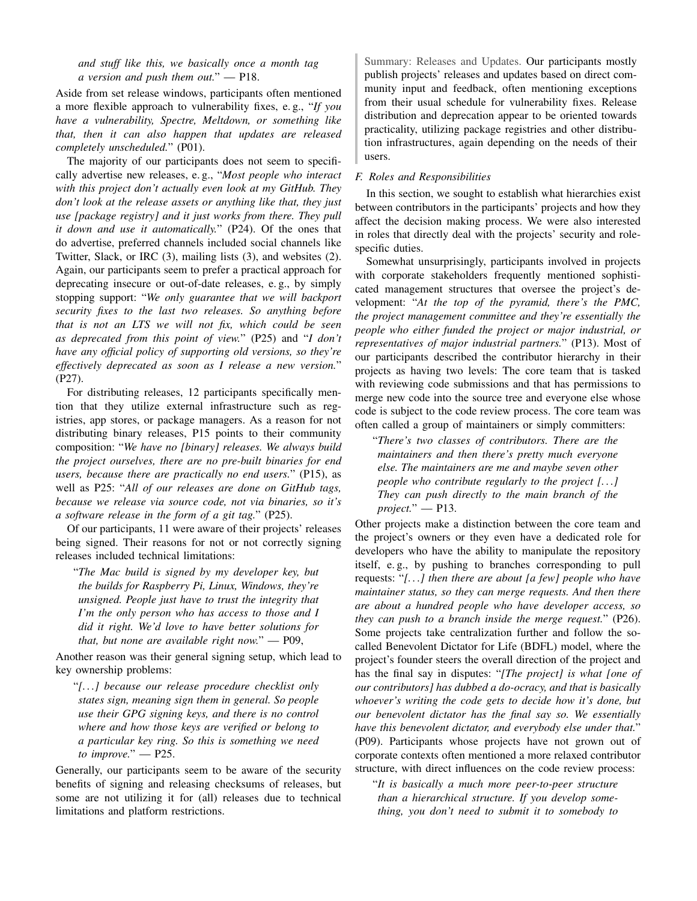*and stuff like this, we basically once a month tag a version and push them out.*" — P18.

Aside from set release windows, participants often mentioned a more flexible approach to vulnerability fixes, e. g., "*If you have a vulnerability, Spectre, Meltdown, or something like that, then it can also happen that updates are released completely unscheduled.*" (P01).

The majority of our participants does not seem to specifically advertise new releases, e. g., "*Most people who interact with this project don't actually even look at my GitHub. They don't look at the release assets or anything like that, they just use [package registry] and it just works from there. They pull it down and use it automatically.*" (P24). Of the ones that do advertise, preferred channels included social channels like Twitter, Slack, or IRC (3), mailing lists (3), and websites (2). Again, our participants seem to prefer a practical approach for deprecating insecure or out-of-date releases, e. g., by simply stopping support: "*We only guarantee that we will backport security fixes to the last two releases. So anything before that is not an LTS we will not fix, which could be seen as deprecated from this point of view.*" (P25) and "*I don't have any official policy of supporting old versions, so they're effectively deprecated as soon as I release a new version.*" (P27).

For distributing releases, 12 participants specifically mention that they utilize external infrastructure such as registries, app stores, or package managers. As a reason for not distributing binary releases, P15 points to their community composition: "*We have no [binary] releases. We always build the project ourselves, there are no pre-built binaries for end users, because there are practically no end users.*" (P15), as well as P25: "*All of our releases are done on GitHub tags, because we release via source code, not via binaries, so it's a software release in the form of a git tag.*" (P25).

Of our participants, 11 were aware of their projects' releases being signed. Their reasons for not or not correctly signing releases included technical limitations:

"*The Mac build is signed by my developer key, but the builds for Raspberry Pi, Linux, Windows, they're unsigned. People just have to trust the integrity that I'm the only person who has access to those and I did it right. We'd love to have better solutions for that, but none are available right now.*" — P09,

Another reason was their general signing setup, which lead to key ownership problems:

"*[. . .] because our release procedure checklist only states sign, meaning sign them in general. So people use their GPG signing keys, and there is no control where and how those keys are verified or belong to a particular key ring. So this is something we need to improve.*" — P25.

Generally, our participants seem to be aware of the security benefits of signing and releasing checksums of releases, but some are not utilizing it for (all) releases due to technical limitations and platform restrictions.

Summary: Releases and Updates. Our participants mostly publish projects' releases and updates based on direct community input and feedback, often mentioning exceptions from their usual schedule for vulnerability fixes. Release distribution and deprecation appear to be oriented towards practicality, utilizing package registries and other distribution infrastructures, again depending on the needs of their users.

#### <span id="page-9-0"></span>*F. Roles and Responsibilities*

In this section, we sought to establish what hierarchies exist between contributors in the participants' projects and how they affect the decision making process. We were also interested in roles that directly deal with the projects' security and rolespecific duties.

Somewhat unsurprisingly, participants involved in projects with corporate stakeholders frequently mentioned sophisticated management structures that oversee the project's development: "*At the top of the pyramid, there's the PMC, the project management committee and they're essentially the people who either funded the project or major industrial, or representatives of major industrial partners.*" (P13). Most of our participants described the contributor hierarchy in their projects as having two levels: The core team that is tasked with reviewing code submissions and that has permissions to merge new code into the source tree and everyone else whose code is subject to the code review process. The core team was often called a group of maintainers or simply committers:

"*There's two classes of contributors. There are the maintainers and then there's pretty much everyone else. The maintainers are me and maybe seven other people who contribute regularly to the project [. . .] They can push directly to the main branch of the project.*" — P13.

Other projects make a distinction between the core team and the project's owners or they even have a dedicated role for developers who have the ability to manipulate the repository itself, e. g., by pushing to branches corresponding to pull requests: "*[. . .] then there are about [a few] people who have maintainer status, so they can merge requests. And then there are about a hundred people who have developer access, so they can push to a branch inside the merge request.*" (P26). Some projects take centralization further and follow the socalled Benevolent Dictator for Life (BDFL) model, where the project's founder steers the overall direction of the project and has the final say in disputes: "*[The project] is what [one of our contributors] has dubbed a do-ocracy, and that is basically whoever's writing the code gets to decide how it's done, but our benevolent dictator has the final say so. We essentially have this benevolent dictator, and everybody else under that.*" (P09). Participants whose projects have not grown out of corporate contexts often mentioned a more relaxed contributor structure, with direct influences on the code review process:

"*It is basically a much more peer-to-peer structure than a hierarchical structure. If you develop something, you don't need to submit it to somebody to*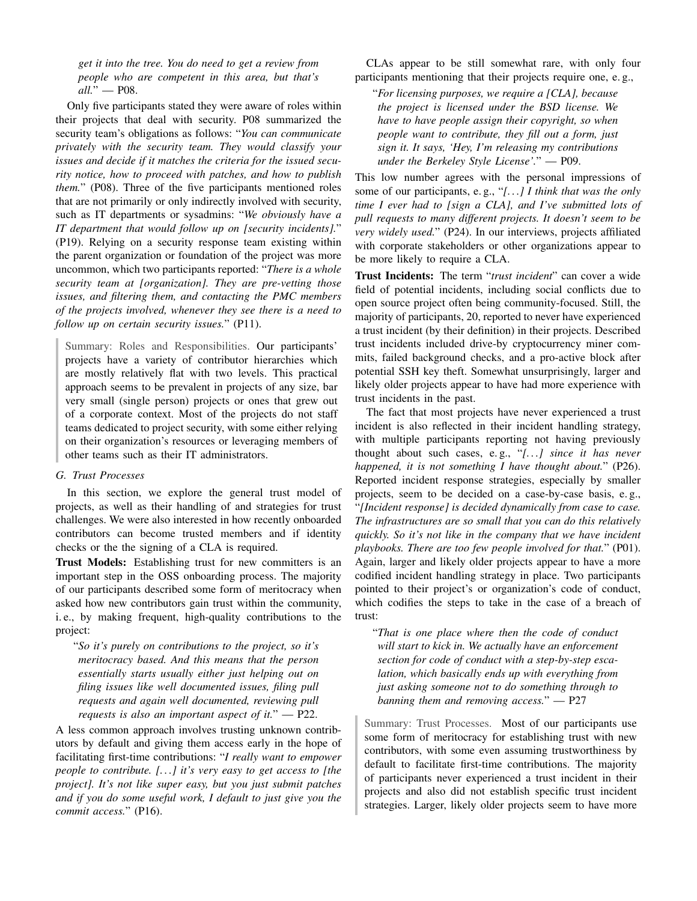*get it into the tree. You do need to get a review from people who are competent in this area, but that's all.*" — P08.

Only five participants stated they were aware of roles within their projects that deal with security. P08 summarized the security team's obligations as follows: "*You can communicate privately with the security team. They would classify your issues and decide if it matches the criteria for the issued security notice, how to proceed with patches, and how to publish them.*" (P08). Three of the five participants mentioned roles that are not primarily or only indirectly involved with security, such as IT departments or sysadmins: "*We obviously have a IT department that would follow up on [security incidents].*" (P19). Relying on a security response team existing within the parent organization or foundation of the project was more uncommon, which two participants reported: "*There is a whole security team at [organization]. They are pre-vetting those issues, and filtering them, and contacting the PMC members of the projects involved, whenever they see there is a need to follow up on certain security issues.*" (P11).

Summary: Roles and Responsibilities. Our participants' projects have a variety of contributor hierarchies which are mostly relatively flat with two levels. This practical approach seems to be prevalent in projects of any size, bar very small (single person) projects or ones that grew out of a corporate context. Most of the projects do not staff teams dedicated to project security, with some either relying on their organization's resources or leveraging members of other teams such as their IT administrators.

#### *G. Trust Processes*

In this section, we explore the general trust model of projects, as well as their handling of and strategies for trust challenges. We were also interested in how recently onboarded contributors can become trusted members and if identity checks or the the signing of a CLA is required.

Trust Models: Establishing trust for new committers is an important step in the OSS onboarding process. The majority of our participants described some form of meritocracy when asked how new contributors gain trust within the community, i. e., by making frequent, high-quality contributions to the project:

"*So it's purely on contributions to the project, so it's meritocracy based. And this means that the person essentially starts usually either just helping out on filing issues like well documented issues, filing pull requests and again well documented, reviewing pull requests is also an important aspect of it.*" — P22.

A less common approach involves trusting unknown contributors by default and giving them access early in the hope of facilitating first-time contributions: "*I really want to empower people to contribute. [. . .] it's very easy to get access to [the project]. It's not like super easy, but you just submit patches and if you do some useful work, I default to just give you the commit access.*" (P16).

CLAs appear to be still somewhat rare, with only four participants mentioning that their projects require one, e. g.,

"*For licensing purposes, we require a [CLA], because the project is licensed under the BSD license. We have to have people assign their copyright, so when people want to contribute, they fill out a form, just sign it. It says, 'Hey, I'm releasing my contributions under the Berkeley Style License'.*" — P09.

This low number agrees with the personal impressions of some of our participants, e. g., "*[. . .] I think that was the only time I ever had to [sign a CLA], and I've submitted lots of pull requests to many different projects. It doesn't seem to be very widely used.*" (P24). In our interviews, projects affiliated with corporate stakeholders or other organizations appear to be more likely to require a CLA.

<span id="page-10-0"></span>Trust Incidents: The term "*trust incident*" can cover a wide field of potential incidents, including social conflicts due to open source project often being community-focused. Still, the majority of participants, 20, reported to never have experienced a trust incident (by their definition) in their projects. Described trust incidents included drive-by cryptocurrency miner commits, failed background checks, and a pro-active block after potential SSH key theft. Somewhat unsurprisingly, larger and likely older projects appear to have had more experience with trust incidents in the past.

The fact that most projects have never experienced a trust incident is also reflected in their incident handling strategy, with multiple participants reporting not having previously thought about such cases, e. g., "*[. . .] since it has never happened, it is not something I have thought about.*" (P26). Reported incident response strategies, especially by smaller projects, seem to be decided on a case-by-case basis, e. g., "*[Incident response] is decided dynamically from case to case. The infrastructures are so small that you can do this relatively quickly. So it's not like in the company that we have incident playbooks. There are too few people involved for that.*" (P01). Again, larger and likely older projects appear to have a more codified incident handling strategy in place. Two participants pointed to their project's or organization's code of conduct, which codifies the steps to take in the case of a breach of trust:

"*That is one place where then the code of conduct will start to kick in. We actually have an enforcement section for code of conduct with a step-by-step escalation, which basically ends up with everything from just asking someone not to do something through to banning them and removing access.*" — P27

Summary: Trust Processes. Most of our participants use some form of meritocracy for establishing trust with new contributors, with some even assuming trustworthiness by default to facilitate first-time contributions. The majority of participants never experienced a trust incident in their projects and also did not establish specific trust incident strategies. Larger, likely older projects seem to have more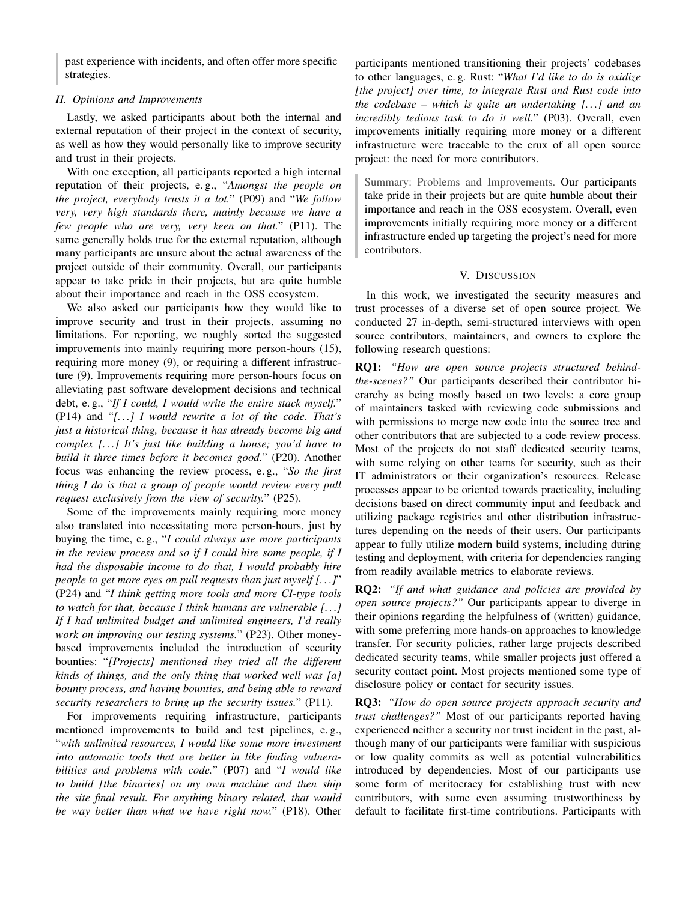past experience with incidents, and often offer more specific strategies.

#### <span id="page-11-1"></span>*H. Opinions and Improvements*

Lastly, we asked participants about both the internal and external reputation of their project in the context of security, as well as how they would personally like to improve security and trust in their projects.

With one exception, all participants reported a high internal reputation of their projects, e. g., "*Amongst the people on the project, everybody trusts it a lot.*" (P09) and "*We follow very, very high standards there, mainly because we have a few people who are very, very keen on that.*" (P11). The same generally holds true for the external reputation, although many participants are unsure about the actual awareness of the project outside of their community. Overall, our participants appear to take pride in their projects, but are quite humble about their importance and reach in the OSS ecosystem.

We also asked our participants how they would like to improve security and trust in their projects, assuming no limitations. For reporting, we roughly sorted the suggested improvements into mainly requiring more person-hours (15), requiring more money (9), or requiring a different infrastructure (9). Improvements requiring more person-hours focus on alleviating past software development decisions and technical debt, e. g., "*If I could, I would write the entire stack myself.*" (P14) and "*[. . .] I would rewrite a lot of the code. That's just a historical thing, because it has already become big and complex [. . .] It's just like building a house; you'd have to build it three times before it becomes good.*" (P20). Another focus was enhancing the review process, e. g., "*So the first thing I do is that a group of people would review every pull request exclusively from the view of security.*" (P25).

Some of the improvements mainly requiring more money also translated into necessitating more person-hours, just by buying the time, e. g., "*I could always use more participants in the review process and so if I could hire some people, if I had the disposable income to do that, I would probably hire people to get more eyes on pull requests than just myself [. . .]*" (P24) and "*I think getting more tools and more CI-type tools to watch for that, because I think humans are vulnerable [. . .] If I had unlimited budget and unlimited engineers, I'd really work on improving our testing systems.*" (P23). Other moneybased improvements included the introduction of security bounties: "*[Projects] mentioned they tried all the different kinds of things, and the only thing that worked well was [a] bounty process, and having bounties, and being able to reward security researchers to bring up the security issues.*" (P11).

For improvements requiring infrastructure, participants mentioned improvements to build and test pipelines, e. g., "*with unlimited resources, I would like some more investment into automatic tools that are better in like finding vulnerabilities and problems with code.*" (P07) and "*I would like to build [the binaries] on my own machine and then ship the site final result. For anything binary related, that would be way better than what we have right now.*" (P18). Other participants mentioned transitioning their projects' codebases to other languages, e. g. Rust: "*What I'd like to do is oxidize [the project] over time, to integrate Rust and Rust code into the codebase – which is quite an undertaking [. . .] and an incredibly tedious task to do it well.*" (P03). Overall, even improvements initially requiring more money or a different infrastructure were traceable to the crux of all open source project: the need for more contributors.

Summary: Problems and Improvements. Our participants take pride in their projects but are quite humble about their importance and reach in the OSS ecosystem. Overall, even improvements initially requiring more money or a different infrastructure ended up targeting the project's need for more contributors.

# V. DISCUSSION

<span id="page-11-0"></span>In this work, we investigated the security measures and trust processes of a diverse set of open source project. We conducted 27 in-depth, semi-structured interviews with open source contributors, maintainers, and owners to explore the following research questions:

RQ1: *"How are open source projects structured behindthe-scenes?"* Our participants described their contributor hierarchy as being mostly based on two levels: a core group of maintainers tasked with reviewing code submissions and with permissions to merge new code into the source tree and other contributors that are subjected to a code review process. Most of the projects do not staff dedicated security teams, with some relying on other teams for security, such as their IT administrators or their organization's resources. Release processes appear to be oriented towards practicality, including decisions based on direct community input and feedback and utilizing package registries and other distribution infrastructures depending on the needs of their users. Our participants appear to fully utilize modern build systems, including during testing and deployment, with criteria for dependencies ranging from readily available metrics to elaborate reviews.

RQ2: *"If and what guidance and policies are provided by open source projects?"* Our participants appear to diverge in their opinions regarding the helpfulness of (written) guidance, with some preferring more hands-on approaches to knowledge transfer. For security policies, rather large projects described dedicated security teams, while smaller projects just offered a security contact point. Most projects mentioned some type of disclosure policy or contact for security issues.

RQ3: *"How do open source projects approach security and trust challenges?"* Most of our participants reported having experienced neither a security nor trust incident in the past, although many of our participants were familiar with suspicious or low quality commits as well as potential vulnerabilities introduced by dependencies. Most of our participants use some form of meritocracy for establishing trust with new contributors, with some even assuming trustworthiness by default to facilitate first-time contributions. Participants with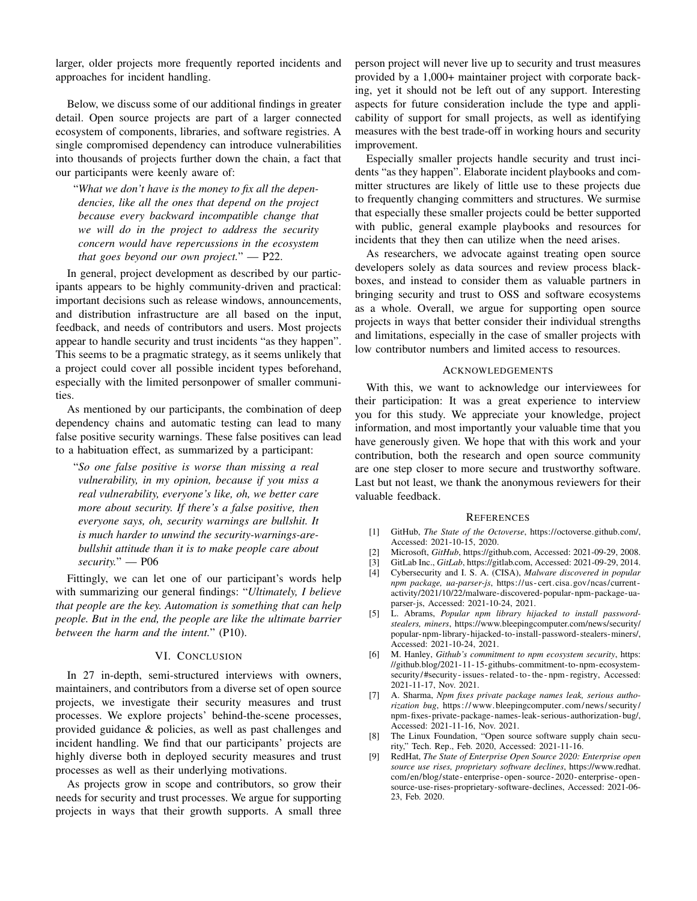larger, older projects more frequently reported incidents and approaches for incident handling.

Below, we discuss some of our additional findings in greater detail. Open source projects are part of a larger connected ecosystem of components, libraries, and software registries. A single compromised dependency can introduce vulnerabilities into thousands of projects further down the chain, a fact that our participants were keenly aware of:

"*What we don't have is the money to fix all the dependencies, like all the ones that depend on the project because every backward incompatible change that we will do in the project to address the security concern would have repercussions in the ecosystem that goes beyond our own project.*" — P22.

In general, project development as described by our participants appears to be highly community-driven and practical: important decisions such as release windows, announcements, and distribution infrastructure are all based on the input, feedback, and needs of contributors and users. Most projects appear to handle security and trust incidents "as they happen". This seems to be a pragmatic strategy, as it seems unlikely that a project could cover all possible incident types beforehand, especially with the limited personpower of smaller communities.

As mentioned by our participants, the combination of deep dependency chains and automatic testing can lead to many false positive security warnings. These false positives can lead to a habituation effect, as summarized by a participant:

"*So one false positive is worse than missing a real vulnerability, in my opinion, because if you miss a real vulnerability, everyone's like, oh, we better care more about security. If there's a false positive, then everyone says, oh, security warnings are bullshit. It is much harder to unwind the security-warnings-arebullshit attitude than it is to make people care about security.*" — P06

Fittingly, we can let one of our participant's words help with summarizing our general findings: "*Ultimately, I believe that people are the key. Automation is something that can help people. But in the end, the people are like the ultimate barrier between the harm and the intent.*" (P10).

#### VI. CONCLUSION

<span id="page-12-9"></span>In 27 in-depth, semi-structured interviews with owners, maintainers, and contributors from a diverse set of open source projects, we investigate their security measures and trust processes. We explore projects' behind-the-scene processes, provided guidance & policies, as well as past challenges and incident handling. We find that our participants' projects are highly diverse both in deployed security measures and trust processes as well as their underlying motivations.

As projects grow in scope and contributors, so grow their needs for security and trust processes. We argue for supporting projects in ways that their growth supports. A small three person project will never live up to security and trust measures provided by a 1,000+ maintainer project with corporate backing, yet it should not be left out of any support. Interesting aspects for future consideration include the type and applicability of support for small projects, as well as identifying measures with the best trade-off in working hours and security improvement.

Especially smaller projects handle security and trust incidents "as they happen". Elaborate incident playbooks and committer structures are likely of little use to these projects due to frequently changing committers and structures. We surmise that especially these smaller projects could be better supported with public, general example playbooks and resources for incidents that they then can utilize when the need arises.

As researchers, we advocate against treating open source developers solely as data sources and review process blackboxes, and instead to consider them as valuable partners in bringing security and trust to OSS and software ecosystems as a whole. Overall, we argue for supporting open source projects in ways that better consider their individual strengths and limitations, especially in the case of smaller projects with low contributor numbers and limited access to resources.

#### ACKNOWLEDGEMENTS

With this, we want to acknowledge our interviewees for their participation: It was a great experience to interview you for this study. We appreciate your knowledge, project information, and most importantly your valuable time that you have generously given. We hope that with this work and your contribution, both the research and open source community are one step closer to more secure and trustworthy software. Last but not least, we thank the anonymous reviewers for their valuable feedback.

#### **REFERENCES**

- <span id="page-12-0"></span>[1] GitHub, *The State of the Octoverse*, [https://octoverse.github.com/,](https://octoverse.github.com/) Accessed: 2021-10-15, 2020.
- <span id="page-12-1"></span>[2] Microsoft, *GitHub*, [https://github.com,](https://github.com) Accessed: 2021-09-29, 2008.
- <span id="page-12-2"></span>[3] GitLab Inc., *GitLab*, [https://gitlab.com,](https://gitlab.com) Accessed: 2021-09-29, 2014.
- <span id="page-12-3"></span>[4] Cybersecurity and I. S. A. (CISA), *Malware discovered in popular npm package, ua-parser-js*, [https://us- cert.cisa.gov/ncas/current](https://us-cert.cisa.gov/ncas/current-activity/2021/10/22/malware-discovered-popular-npm-package-ua-parser-js)[activity/2021/10/22/malware-discovered-popular-npm-package-ua](https://us-cert.cisa.gov/ncas/current-activity/2021/10/22/malware-discovered-popular-npm-package-ua-parser-js)[parser-js,](https://us-cert.cisa.gov/ncas/current-activity/2021/10/22/malware-discovered-popular-npm-package-ua-parser-js) Accessed: 2021-10-24, 2021.
- <span id="page-12-4"></span>[5] L. Abrams, *Popular npm library hijacked to install passwordstealers, miners*, [https://www.bleepingcomputer.com/news/security/](https://www.bleepingcomputer.com/news/security/popular-npm-library-hijacked-to-install-password-stealers-miners/) [popular-npm-library-hijacked-to-install-password-stealers-miners/,](https://www.bleepingcomputer.com/news/security/popular-npm-library-hijacked-to-install-password-stealers-miners/) Accessed: 2021-10-24, 2021.
- <span id="page-12-5"></span>[6] M. Hanley, *Github's commitment to npm ecosystem security*, [https:](https://github.blog/2021-11-15-githubs-commitment-to-npm-ecosystem-security/#security-issues-related-to-the-npm-registry) [//github.blog/2021-11-15-githubs-commitment-to-npm-ecosystem](https://github.blog/2021-11-15-githubs-commitment-to-npm-ecosystem-security/#security-issues-related-to-the-npm-registry)[security/#security- issues- related- to- the- npm- registry,](https://github.blog/2021-11-15-githubs-commitment-to-npm-ecosystem-security/#security-issues-related-to-the-npm-registry) Accessed: 2021-11-17, Nov. 2021.
- <span id="page-12-6"></span>[7] A. Sharma, *Npm fixes private package names leak, serious authorization bug*, [https://www.bleepingcomputer.com/news/security/](https://www.bleepingcomputer.com/news/security/npm-fixes-private-package-names-leak-serious-authorization-bug/) [npm-fixes-private-package-names-leak-serious-authorization-bug/,](https://www.bleepingcomputer.com/news/security/npm-fixes-private-package-names-leak-serious-authorization-bug/) Accessed: 2021-11-16, Nov. 2021.
- <span id="page-12-7"></span>[8] The Linux Foundation, "Open source software supply chain security," Tech. Rep., Feb. 2020, Accessed: 2021-11-16.
- <span id="page-12-8"></span>[9] RedHat, *The State of Enterprise Open Source 2020: Enterprise open source use rises, proprietary software declines*, [https://www.redhat.](https://www.redhat.com/en/blog/state-enterprise-open-source-2020-enterprise-open-source-use-rises-proprietary-software-declines) [com/en/blog/state- enterprise- open- source- 2020- enterprise- open](https://www.redhat.com/en/blog/state-enterprise-open-source-2020-enterprise-open-source-use-rises-proprietary-software-declines)[source-use-rises-proprietary-software-declines,](https://www.redhat.com/en/blog/state-enterprise-open-source-2020-enterprise-open-source-use-rises-proprietary-software-declines) Accessed: 2021-06- 23, Feb. 2020.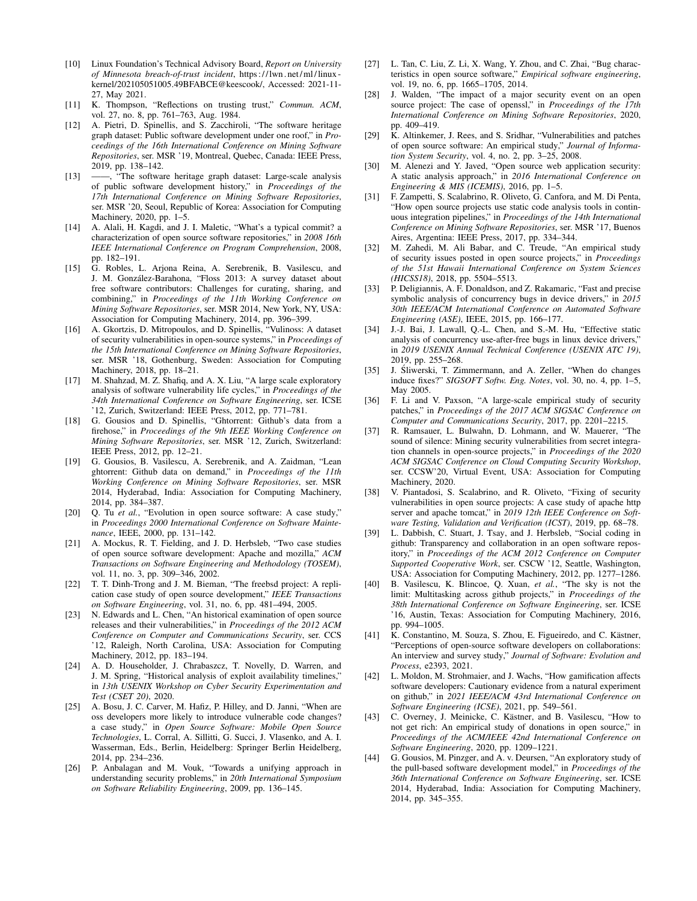- <span id="page-13-0"></span>[10] Linux Foundation's Technical Advisory Board, *Report on University of Minnesota breach-of-trust incident*, [https : / / lwn . net / ml / linux](https://lwn.net/ml/linux-kernel/202105051005.49BFABCE@keescook/)  [kernel/202105051005.49BFABCE@keescook/,](https://lwn.net/ml/linux-kernel/202105051005.49BFABCE@keescook/) Accessed: 2021-11- 27, May 2021.
- <span id="page-13-1"></span>[11] K. Thompson, "Reflections on trusting trust," *Commun. ACM*, vol. 27, no. 8, pp. 761–763, Aug. 1984.
- <span id="page-13-2"></span>[12] A. Pietri, D. Spinellis, and S. Zacchiroli, "The software heritage graph dataset: Public software development under one roof," in *Proceedings of the 16th International Conference on Mining Software Repositories*, ser. MSR '19, Montreal, Quebec, Canada: IEEE Press, 2019, pp. 138–142.
- [13] ——, "The software heritage graph dataset: Large-scale analysis of public software development history," in *Proceedings of the 17th International Conference on Mining Software Repositories*, ser. MSR '20, Seoul, Republic of Korea: Association for Computing Machinery, 2020, pp. 1–5.
- <span id="page-13-3"></span>[14] A. Alali, H. Kagdi, and J. I. Maletic, "What's a typical commit? a characterization of open source software repositories," in *2008 16th IEEE International Conference on Program Comprehension*, 2008, pp. 182–191.
- <span id="page-13-4"></span>[15] G. Robles, L. Arjona Reina, A. Serebrenik, B. Vasilescu, and J. M. González-Barahona, "Floss 2013: A survey dataset about free software contributors: Challenges for curating, sharing, and combining," in *Proceedings of the 11th Working Conference on Mining Software Repositories*, ser. MSR 2014, New York, NY, USA: Association for Computing Machinery, 2014, pp. 396–399.
- <span id="page-13-5"></span>[16] A. Gkortzis, D. Mitropoulos, and D. Spinellis, "Vulinoss: A dataset of security vulnerabilities in open-source systems," in *Proceedings of the 15th International Conference on Mining Software Repositories*, ser. MSR '18, Gothenburg, Sweden: Association for Computing Machinery, 2018, pp. 18–21.
- <span id="page-13-6"></span>[17] M. Shahzad, M. Z. Shafiq, and A. X. Liu, "A large scale exploratory analysis of software vulnerability life cycles," in *Proceedings of the 34th International Conference on Software Engineering*, ser. ICSE '12, Zurich, Switzerland: IEEE Press, 2012, pp. 771–781.
- <span id="page-13-7"></span>[18] G. Gousios and D. Spinellis, "Ghtorrent: Github's data from a firehose," in *Proceedings of the 9th IEEE Working Conference on Mining Software Repositories*, ser. MSR '12, Zurich, Switzerland: IEEE Press, 2012, pp. 12–21.
- <span id="page-13-8"></span>[19] G. Gousios, B. Vasilescu, A. Serebrenik, and A. Zaidman, "Lean ghtorrent: Github data on demand," in *Proceedings of the 11th Working Conference on Mining Software Repositories*, ser. MSR 2014, Hyderabad, India: Association for Computing Machinery, 2014, pp. 384–387.
- <span id="page-13-9"></span>[20] Q. Tu *et al.*, "Evolution in open source software: A case study," in *Proceedings 2000 International Conference on Software Maintenance*, IEEE, 2000, pp. 131–142.
- <span id="page-13-10"></span>[21] A. Mockus, R. T. Fielding, and J. D. Herbsleb, "Two case studies of open source software development: Apache and mozilla," *ACM Transactions on Software Engineering and Methodology (TOSEM)*, vol. 11, no. 3, pp. 309–346, 2002.
- <span id="page-13-11"></span>[22] T. T. Dinh-Trong and J. M. Bieman, "The freebsd project: A replication case study of open source development," *IEEE Transactions on Software Engineering*, vol. 31, no. 6, pp. 481–494, 2005.
- <span id="page-13-12"></span>[23] N. Edwards and L. Chen, "An historical examination of open source releases and their vulnerabilities," in *Proceedings of the 2012 ACM Conference on Computer and Communications Security*, ser. CCS '12, Raleigh, North Carolina, USA: Association for Computing Machinery, 2012, pp. 183–194.
- <span id="page-13-13"></span>[24] A. D. Householder, J. Chrabaszcz, T. Novelly, D. Warren, and J. M. Spring, "Historical analysis of exploit availability timelines," in *13th USENIX Workshop on Cyber Security Experimentation and Test (CSET 20)*, 2020.
- <span id="page-13-14"></span>[25] A. Bosu, J. C. Carver, M. Hafiz, P. Hilley, and D. Janni, "When are oss developers more likely to introduce vulnerable code changes? a case study," in *Open Source Software: Mobile Open Source Technologies*, L. Corral, A. Sillitti, G. Succi, J. Vlasenko, and A. I. Wasserman, Eds., Berlin, Heidelberg: Springer Berlin Heidelberg, 2014, pp. 234–236.
- [26] P. Anbalagan and M. Vouk, "Towards a unifying approach in understanding security problems," in *20th International Symposium on Software Reliability Engineering*, 2009, pp. 136–145.
- [27] L. Tan, C. Liu, Z. Li, X. Wang, Y. Zhou, and C. Zhai, "Bug characteristics in open source software," *Empirical software engineering*, vol. 19, no. 6, pp. 1665–1705, 2014.
- <span id="page-13-15"></span>[28] J. Walden, "The impact of a major security event on an open source project: The case of openssl," in *Proceedings of the 17th International Conference on Mining Software Repositories*, 2020, pp. 409–419.
- <span id="page-13-16"></span>[29] K. Altinkemer, J. Rees, and S. Sridhar, "Vulnerabilities and patches of open source software: An empirical study," *Journal of Information System Security*, vol. 4, no. 2, pp. 3–25, 2008.
- [30] M. Alenezi and Y. Javed, "Open source web application security: A static analysis approach," in *2016 International Conference on Engineering & MIS (ICEMIS)*, 2016, pp. 1–5.
- [31] F. Zampetti, S. Scalabrino, R. Oliveto, G. Canfora, and M. Di Penta, "How open source projects use static code analysis tools in continuous integration pipelines," in *Proceedings of the 14th International Conference on Mining Software Repositories*, ser. MSR '17, Buenos Aires, Argentina: IEEE Press, 2017, pp. 334–344.
- <span id="page-13-17"></span>[32] M. Zahedi, M. Ali Babar, and C. Treude, "An empirical study of security issues posted in open source projects," in *Proceedings of the 51st Hawaii International Conference on System Sciences (HICSS18)*, 2018, pp. 5504–5513.
- <span id="page-13-18"></span>[33] P. Deligiannis, A. F. Donaldson, and Z. Rakamaric, "Fast and precise symbolic analysis of concurrency bugs in device drivers," in *2015 30th IEEE/ACM International Conference on Automated Software Engineering (ASE)*, IEEE, 2015, pp. 166–177.
- <span id="page-13-19"></span>J.-J. Bai, J. Lawall, Q.-L. Chen, and S.-M. Hu, "Effective static analysis of concurrency use-after-free bugs in linux device drivers," in *2019 USENIX Annual Technical Conference (USENIX ATC 19)*, 2019, pp. 255–268.
- <span id="page-13-20"></span>[35] J. Śliwerski, T. Zimmermann, and A. Zeller, "When do changes induce fixes?" *SIGSOFT Softw. Eng. Notes*, vol. 30, no. 4, pp. 1–5, May 2005.
- [36] F. Li and V. Paxson, "A large-scale empirical study of security patches," in *Proceedings of the 2017 ACM SIGSAC Conference on Computer and Communications Security*, 2017, pp. 2201–2215.
- <span id="page-13-21"></span>[37] R. Ramsauer, L. Bulwahn, D. Lohmann, and W. Mauerer, "The sound of silence: Mining security vulnerabilities from secret integration channels in open-source projects," in *Proceedings of the 2020 ACM SIGSAC Conference on Cloud Computing Security Workshop*, ser. CCSW'20, Virtual Event, USA: Association for Computing Machinery, 2020.
- <span id="page-13-22"></span>[38] V. Piantadosi, S. Scalabrino, and R. Oliveto, "Fixing of security vulnerabilities in open source projects: A case study of apache http server and apache tomcat," in *2019 12th IEEE Conference on Software Testing, Validation and Verification (ICST)*, 2019, pp. 68–78.
- <span id="page-13-23"></span>[39] L. Dabbish, C. Stuart, J. Tsay, and J. Herbsleb, "Social coding in github: Transparency and collaboration in an open software repository," in *Proceedings of the ACM 2012 Conference on Computer Supported Cooperative Work*, ser. CSCW '12, Seattle, Washington, USA: Association for Computing Machinery, 2012, pp. 1277–1286.
- [40] B. Vasilescu, K. Blincoe, Q. Xuan, *et al.*, "The sky is not the limit: Multitasking across github projects," in *Proceedings of the 38th International Conference on Software Engineering*, ser. ICSE '16, Austin, Texas: Association for Computing Machinery, 2016, pp. 994–1005.
- <span id="page-13-24"></span>[41] K. Constantino, M. Souza, S. Zhou, E. Figueiredo, and C. Kästner, "Perceptions of open-source software developers on collaborations: An interview and survey study," *Journal of Software: Evolution and Process*, e2393, 2021.
- <span id="page-13-25"></span>[42] L. Moldon, M. Strohmaier, and J. Wachs, "How gamification affects software developers: Cautionary evidence from a natural experiment on github," in *2021 IEEE/ACM 43rd International Conference on Software Engineering (ICSE)*, 2021, pp. 549–561.
- <span id="page-13-26"></span>[43] C. Overney, J. Meinicke, C. Kästner, and B. Vasilescu, "How to not get rich: An empirical study of donations in open source," in *Proceedings of the ACM/IEEE 42nd International Conference on Software Engineering*, 2020, pp. 1209–1221.
- <span id="page-13-27"></span>[44] G. Gousios, M. Pinzger, and A. v. Deursen, "An exploratory study of the pull-based software development model," in *Proceedings of the 36th International Conference on Software Engineering*, ser. ICSE 2014, Hyderabad, India: Association for Computing Machinery, 2014, pp. 345–355.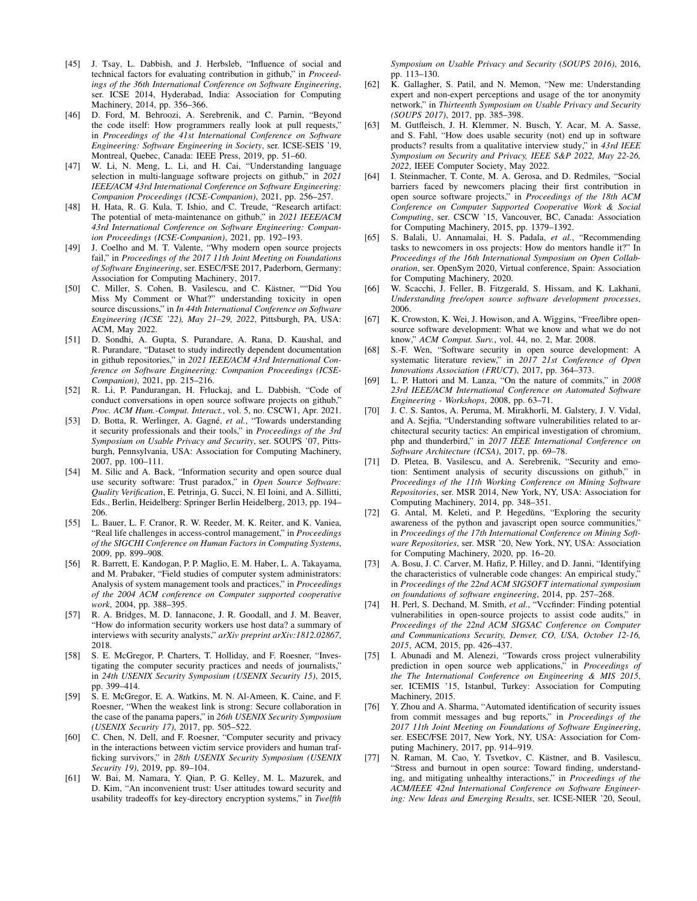- <span id="page-14-30"></span>[45] J. Tsay, L. Dabbish, and J. Herbsleb, "Influence of social and technical factors for evaluating contribution in github," in *Proceedings of the 36th International Conference on Software Engineering*, ser. ICSE 2014, Hyderabad, India: Association for Computing Machinery, 2014, pp. 356–366.
- <span id="page-14-0"></span>[46] D. Ford, M. Behroozi, A. Serebrenik, and C. Parnin, "Beyond the code itself: How programmers really look at pull requests," in *Proceedings of the 41st International Conference on Software Engineering: Software Engineering in Society*, ser. ICSE-SEIS '19, Montreal, Quebec, Canada: IEEE Press, 2019, pp. 51–60.
- <span id="page-14-1"></span>[47] W. Li, N. Meng, L. Li, and H. Cai, "Understanding language selection in multi-language software projects on github," in *2021 IEEE/ACM 43rd International Conference on Software Engineering: Companion Proceedings (ICSE-Companion)*, 2021, pp. 256–257.
- <span id="page-14-2"></span>[48] H. Hata, R. G. Kula, T. Ishio, and C. Treude, "Research artifact: The potential of meta-maintenance on github," in *2021 IEEE/ACM 43rd International Conference on Software Engineering: Companion Proceedings (ICSE-Companion)*, 2021, pp. 192–193.
- <span id="page-14-3"></span>[49] J. Coelho and M. T. Valente, "Why modern open source projects fail," in *Proceedings of the 2017 11th Joint Meeting on Foundations of Software Engineering*, ser. ESEC/FSE 2017, Paderborn, Germany: Association for Computing Machinery, 2017.
- <span id="page-14-4"></span>[50] C. Miller, S. Cohen, B. Vasilescu, and C. Kästner, ""Did You Miss My Comment or What?" understanding toxicity in open source discussions," in *In 44th International Conference on Software Engineering (ICSE '22), May 21–29, 2022*, Pittsburgh, PA, USA: ACM, May 2022.
- <span id="page-14-5"></span>[51] D. Sondhi, A. Gupta, S. Purandare, A. Rana, D. Kaushal, and R. Purandare, "Dataset to study indirectly dependent documentation in github repositories," in *2021 IEEE/ACM 43rd International Conference on Software Engineering: Companion Proceedings (ICSE-Companion)*, 2021, pp. 215–216.
- <span id="page-14-6"></span>[52] R. Li, P. Pandurangan, H. Frluckaj, and L. Dabbish, "Code of conduct conversations in open source software projects on github," *Proc. ACM Hum.-Comput. Interact.*, vol. 5, no. CSCW1, Apr. 2021.
- <span id="page-14-7"></span>[53] D. Botta, R. Werlinger, A. Gagné, *et al.*, "Towards understanding it security professionals and their tools," in *Proceedings of the 3rd Symposium on Usable Privacy and Security*, ser. SOUPS '07, Pittsburgh, Pennsylvania, USA: Association for Computing Machinery, 2007, pp. 100–111.
- <span id="page-14-8"></span>[54] M. Silic and A. Back, "Information security and open source dual use security software: Trust paradox," in *Open Source Software: Quality Verification*, E. Petrinja, G. Succi, N. El Ioini, and A. Sillitti, Eds., Berlin, Heidelberg: Springer Berlin Heidelberg, 2013, pp. 194– 206.
- <span id="page-14-9"></span>[55] L. Bauer, L. F. Cranor, R. W. Reeder, M. K. Reiter, and K. Vaniea, "Real life challenges in access-control management," in *Proceedings of the SIGCHI Conference on Human Factors in Computing Systems*, 2009, pp. 899–908.
- <span id="page-14-10"></span>[56] R. Barrett, E. Kandogan, P. P. Maglio, E. M. Haber, L. A. Takayama, and M. Prabaker, "Field studies of computer system administrators: Analysis of system management tools and practices," in *Proceedings of the 2004 ACM conference on Computer supported cooperative work*, 2004, pp. 388–395.
- <span id="page-14-11"></span>[57] R. A. Bridges, M. D. Iannacone, J. R. Goodall, and J. M. Beaver, "How do information security workers use host data? a summary of interviews with security analysts," *arXiv preprint arXiv:1812.02867*, 2018.
- <span id="page-14-12"></span>[58] S. E. McGregor, P. Charters, T. Holliday, and F. Roesner, "Investigating the computer security practices and needs of journalists," in *24th USENIX Security Symposium (USENIX Security 15)*, 2015, pp. 399–414.
- <span id="page-14-13"></span>[59] S. E. McGregor, E. A. Watkins, M. N. Al-Ameen, K. Caine, and F. Roesner, "When the weakest link is strong: Secure collaboration in the case of the panama papers," in *26th USENIX Security Symposium (USENIX Security 17)*, 2017, pp. 505–522.
- <span id="page-14-14"></span>[60] C. Chen, N. Dell, and F. Roesner, "Computer security and privacy in the interactions between victim service providers and human trafficking survivors," in *28th USENIX Security Symposium (USENIX Security 19)*, 2019, pp. 89–104.
- <span id="page-14-15"></span>[61] W. Bai, M. Namara, Y. Qian, P. G. Kelley, M. L. Mazurek, and D. Kim, "An inconvenient trust: User attitudes toward security and usability tradeoffs for key-directory encryption systems," in *Twelfth*

*Symposium on Usable Privacy and Security (SOUPS 2016)*, 2016, pp. 113–130.

- <span id="page-14-16"></span>[62] K. Gallagher, S. Patil, and N. Memon, "New me: Understanding expert and non-expert perceptions and usage of the tor anonymity network," in *Thirteenth Symposium on Usable Privacy and Security (SOUPS 2017)*, 2017, pp. 385–398.
- <span id="page-14-17"></span>[63] M. Gutfleisch, J. H. Klemmer, N. Busch, Y. Acar, M. A. Sasse, and S. Fahl, "How does usable security (not) end up in software products? results from a qualitative interview study," in *43rd IEEE Symposium on Security and Privacy, IEEE S&P 2022, May 22-26, 2022*, IEEE Computer Society, May 2022.
- <span id="page-14-18"></span>[64] I. Steinmacher, T. Conte, M. A. Gerosa, and D. Redmiles, "Social barriers faced by newcomers placing their first contribution in open source software projects," in *Proceedings of the 18th ACM Conference on Computer Supported Cooperative Work & Social Computing*, ser. CSCW '15, Vancouver, BC, Canada: Association for Computing Machinery, 2015, pp. 1379–1392.
- <span id="page-14-19"></span>[65] S. Balali, U. Annamalai, H. S. Padala, *et al.*, "Recommending tasks to newcomers in oss projects: How do mentors handle it?" In *Proceedings of the 16th International Symposium on Open Collaboration*, ser. OpenSym 2020, Virtual conference, Spain: Association for Computing Machinery, 2020.
- <span id="page-14-20"></span>[66] W. Scacchi, J. Feller, B. Fitzgerald, S. Hissam, and K. Lakhani, *Understanding free/open source software development processes*, 2006.
- [67] K. Crowston, K. Wei, J. Howison, and A. Wiggins, "Free/libre opensource software development: What we know and what we do not know," *ACM Comput. Surv.*, vol. 44, no. 2, Mar. 2008.
- <span id="page-14-21"></span>[68] S.-F. Wen, "Software security in open source development: A systematic literature review," in *2017 21st Conference of Open Innovations Association (FRUCT)*, 2017, pp. 364–373.
- <span id="page-14-22"></span>[69] L. P. Hattori and M. Lanza, "On the nature of commits," in *2008 23rd IEEE/ACM International Conference on Automated Software Engineering - Workshops*, 2008, pp. 63–71.
- <span id="page-14-23"></span>[70] J. C. S. Santos, A. Peruma, M. Mirakhorli, M. Galstery, J. V. Vidal, and A. Sejfia, "Understanding software vulnerabilities related to architectural security tactics: An empirical investigation of chromium, php and thunderbird," in *2017 IEEE International Conference on Software Architecture (ICSA)*, 2017, pp. 69–78.
- <span id="page-14-24"></span>[71] D. Pletea, B. Vasilescu, and A. Serebrenik, "Security and emotion: Sentiment analysis of security discussions on github," in *Proceedings of the 11th Working Conference on Mining Software Repositories*, ser. MSR 2014, New York, NY, USA: Association for Computing Machinery, 2014, pp. 348–351.
- <span id="page-14-25"></span>[72] G. Antal, M. Keleti, and P. Hegedŭns, "Exploring the security awareness of the python and javascript open source communities,' in *Proceedings of the 17th International Conference on Mining Software Repositories*, ser. MSR '20, New York, NY, USA: Association for Computing Machinery, 2020, pp. 16–20.
- <span id="page-14-26"></span>[73] A. Bosu, J. C. Carver, M. Hafiz, P. Hilley, and D. Janni, "Identifying the characteristics of vulnerable code changes: An empirical study," in *Proceedings of the 22nd ACM SIGSOFT international symposium on foundations of software engineering*, 2014, pp. 257–268.
- <span id="page-14-27"></span>[74] H. Perl, S. Dechand, M. Smith, *et al.*, "Vccfinder: Finding potential vulnerabilities in open-source projects to assist code audits," in *Proceedings of the 22nd ACM SIGSAC Conference on Computer and Communications Security, Denver, CO, USA, October 12-16, 2015*, ACM, 2015, pp. 426–437.
- [75] I. Abunadi and M. Alenezi, "Towards cross project vulnerability prediction in open source web applications," in *Proceedings of the The International Conference on Engineering & MIS 2015*, ser. ICEMIS '15, Istanbul, Turkey: Association for Computing Machinery, 2015.
- <span id="page-14-28"></span>[76] Y. Zhou and A. Sharma, "Automated identification of security issues from commit messages and bug reports," in *Proceedings of the 2017 11th Joint Meeting on Foundations of Software Engineering*, ser. ESEC/FSE 2017, New York, NY, USA: Association for Computing Machinery, 2017, pp. 914–919.
- <span id="page-14-29"></span>[77] N. Raman, M. Cao, Y. Tsvetkov, C. Kästner, and B. Vasilescu, "Stress and burnout in open source: Toward finding, understanding, and mitigating unhealthy interactions," in *Proceedings of the ACM/IEEE 42nd International Conference on Software Engineering: New Ideas and Emerging Results*, ser. ICSE-NIER '20, Seoul,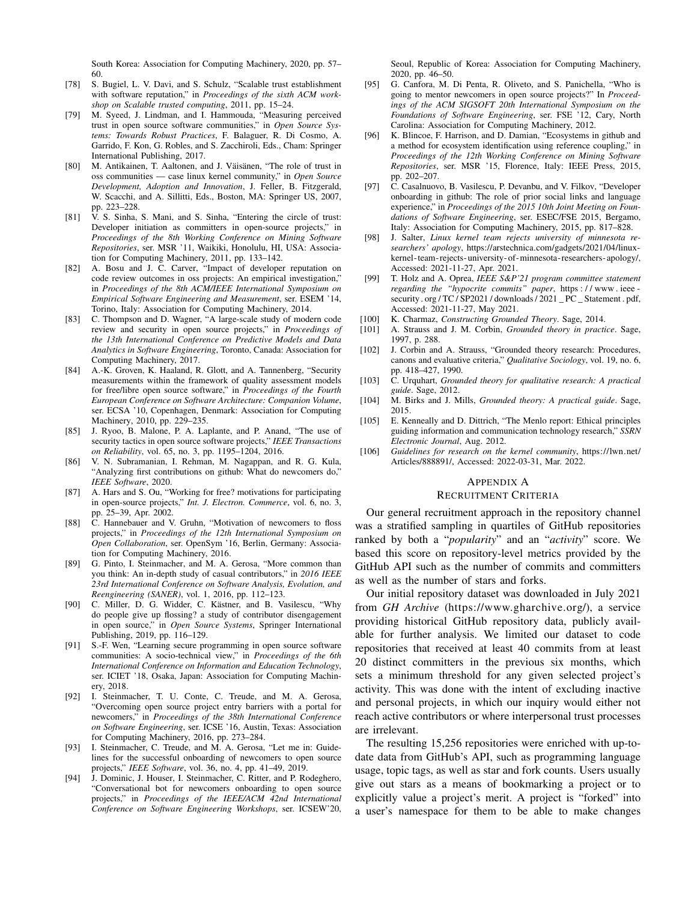South Korea: Association for Computing Machinery, 2020, pp. 57– 60.

- <span id="page-15-0"></span>[78] S. Bugiel, L. V. Davi, and S. Schulz, "Scalable trust establishment with software reputation," in *Proceedings of the sixth ACM workshop on Scalable trusted computing*, 2011, pp. 15–24.
- <span id="page-15-1"></span>[79] M. Syeed, J. Lindman, and I. Hammouda, "Measuring perceived trust in open source software communities," in *Open Source Systems: Towards Robust Practices*, F. Balaguer, R. Di Cosmo, A. Garrido, F. Kon, G. Robles, and S. Zacchiroli, Eds., Cham: Springer International Publishing, 2017.
- <span id="page-15-2"></span>[80] M. Antikainen, T. Aaltonen, and J. Väisänen, "The role of trust in oss communities — case linux kernel community," in *Open Source Development, Adoption and Innovation*, J. Feller, B. Fitzgerald, W. Scacchi, and A. Sillitti, Eds., Boston, MA: Springer US, 2007, pp. 223–228.
- <span id="page-15-3"></span>[81] V. S. Sinha, S. Mani, and S. Sinha, "Entering the circle of trust: Developer initiation as committers in open-source projects," in *Proceedings of the 8th Working Conference on Mining Software Repositories*, ser. MSR '11, Waikiki, Honolulu, HI, USA: Association for Computing Machinery, 2011, pp. 133–142.
- <span id="page-15-4"></span>[82] A. Bosu and J. C. Carver, "Impact of developer reputation on code review outcomes in oss projects: An empirical investigation," in *Proceedings of the 8th ACM/IEEE International Symposium on Empirical Software Engineering and Measurement*, ser. ESEM '14, Torino, Italy: Association for Computing Machinery, 2014.
- <span id="page-15-5"></span>[83] C. Thompson and D. Wagner, "A large-scale study of modern code review and security in open source projects," in *Proceedings of the 13th International Conference on Predictive Models and Data Analytics in Software Engineering*, Toronto, Canada: Association for Computing Machinery, 2017.
- <span id="page-15-6"></span>[84] A.-K. Groven, K. Haaland, R. Glott, and A. Tannenberg, "Security measurements within the framework of quality assessment models for free/libre open source software," in *Proceedings of the Fourth European Conference on Software Architecture: Companion Volume*, ser. ECSA '10, Copenhagen, Denmark: Association for Computing Machinery, 2010, pp. 229–235.
- <span id="page-15-7"></span>[85] J. Ryoo, B. Malone, P. A. Laplante, and P. Anand, "The use of security tactics in open source software projects," *IEEE Transactions on Reliability*, vol. 65, no. 3, pp. 1195–1204, 2016.
- <span id="page-15-8"></span>[86] V. N. Subramanian, I. Rehman, M. Nagappan, and R. G. Kula, "Analyzing first contributions on github: What do newcomers do," *IEEE Software*, 2020.
- <span id="page-15-9"></span>[87] A. Hars and S. Ou, "Working for free? motivations for participating in open-source projects," *Int. J. Electron. Commerce*, vol. 6, no. 3, pp. 25–39, Apr. 2002.
- [88] C. Hannebauer and V. Gruhn, "Motivation of newcomers to floss projects," in *Proceedings of the 12th International Symposium on Open Collaboration*, ser. OpenSym '16, Berlin, Germany: Association for Computing Machinery, 2016.
- [89] G. Pinto, I. Steinmacher, and M. A. Gerosa, "More common than you think: An in-depth study of casual contributors," in *2016 IEEE 23rd International Conference on Software Analysis, Evolution, and Reengineering (SANER)*, vol. 1, 2016, pp. 112–123.
- <span id="page-15-10"></span>[90] C. Miller, D. G. Widder, C. Kästner, and B. Vasilescu, "Why do people give up flossing? a study of contributor disengagement in open source," in *Open Source Systems*, Springer International Publishing, 2019, pp. 116–129.
- <span id="page-15-11"></span>[91] S.-F. Wen, "Learning secure programming in open source software communities: A socio-technical view," in *Proceedings of the 6th International Conference on Information and Education Technology*, ser. ICIET '18, Osaka, Japan: Association for Computing Machinery, 2018.
- <span id="page-15-12"></span>[92] I. Steinmacher, T. U. Conte, C. Treude, and M. A. Gerosa, "Overcoming open source project entry barriers with a portal for newcomers," in *Proceedings of the 38th International Conference on Software Engineering*, ser. ICSE '16, Austin, Texas: Association for Computing Machinery, 2016, pp. 273–284.
- [93] I. Steinmacher, C. Treude, and M. A. Gerosa, "Let me in: Guidelines for the successful onboarding of newcomers to open source projects," *IEEE Software*, vol. 36, no. 4, pp. 41–49, 2019.
- <span id="page-15-13"></span>[94] J. Dominic, J. Houser, I. Steinmacher, C. Ritter, and P. Rodeghero, "Conversational bot for newcomers onboarding to open source projects," in *Proceedings of the IEEE/ACM 42nd International Conference on Software Engineering Workshops*, ser. ICSEW'20,

Seoul, Republic of Korea: Association for Computing Machinery, 2020, pp. 46–50.

- <span id="page-15-14"></span>[95] G. Canfora, M. Di Penta, R. Oliveto, and S. Panichella, "Who is going to mentor newcomers in open source projects?" In *Proceedings of the ACM SIGSOFT 20th International Symposium on the Foundations of Software Engineering*, ser. FSE '12, Cary, North Carolina: Association for Computing Machinery, 2012.
- <span id="page-15-15"></span>[96] K. Blincoe, F. Harrison, and D. Damian, "Ecosystems in github and a method for ecosystem identification using reference coupling," in *Proceedings of the 12th Working Conference on Mining Software Repositories*, ser. MSR '15, Florence, Italy: IEEE Press, 2015, pp. 202–207.
- <span id="page-15-16"></span>[97] C. Casalnuovo, B. Vasilescu, P. Devanbu, and V. Filkov, "Developer onboarding in github: The role of prior social links and language experience," in *Proceedings of the 2015 10th Joint Meeting on Foundations of Software Engineering*, ser. ESEC/FSE 2015, Bergamo, Italy: Association for Computing Machinery, 2015, pp. 817–828.
- <span id="page-15-18"></span>[98] J. Salter, *Linux kernel team rejects university of minnesota researchers' apology*, [https://arstechnica.com/gadgets/2021/04/linux](https://arstechnica.com/gadgets/2021/04/linux-kernel-team-rejects-university-of-minnesota-researchers-apology/)[kernel-team-rejects-university-of-minnesota-researchers-apology/,](https://arstechnica.com/gadgets/2021/04/linux-kernel-team-rejects-university-of-minnesota-researchers-apology/) Accessed: 2021-11-27, Apr. 2021.
- <span id="page-15-19"></span>[99] T. Holz and A. Oprea, *IEEE S&P'21 program committee statement regarding the "hypocrite commits" paper*, [https : / / www . ieee](https://www.ieee-security.org/TC/SP2021/downloads/2021_PC_Statement.pdf)  security.org/TC/SP2021/downloads/2021\_PC\_Statement.pdf, Accessed: 2021-11-27, May 2021.
- <span id="page-15-20"></span>[100] K. Charmaz, *Constructing Grounded Theory*. Sage, 2014.
- [101] A. Strauss and J. M. Corbin, *Grounded theory in practice*. Sage, 1997, p. 288.
- <span id="page-15-21"></span>[102] J. Corbin and A. Strauss, "Grounded theory research: Procedures, canons and evaluative criteria," *Qualitative Sociology*, vol. 19, no. 6, pp. 418–427, 1990.
- <span id="page-15-22"></span>[103] C. Urquhart, *Grounded theory for qualitative research: A practical guide*. Sage, 2012.
- <span id="page-15-23"></span>[104] M. Birks and J. Mills, *Grounded theory: A practical guide*. Sage, 2015.
- <span id="page-15-24"></span>[105] E. Kenneally and D. Dittrich, "The Menlo report: Ethical principles guiding information and communication technology research," *SSRN Electronic Journal*, Aug. 2012.
- <span id="page-15-25"></span>[106] *Guidelines for research on the kernel community*, [https://lwn.net/](https://lwn.net/Articles/888891/) [Articles/888891/,](https://lwn.net/Articles/888891/) Accessed: 2022-03-31, Mar. 2022.

#### <span id="page-15-17"></span>APPENDIX A

#### RECRUITMENT CRITERIA

Our general recruitment approach in the repository channel was a stratified sampling in quartiles of GitHub repositories ranked by both a "*popularity*" and an "*activity*" score. We based this score on repository-level metrics provided by the GitHub API such as the number of commits and committers as well as the number of stars and forks.

Our initial repository dataset was downloaded in July 2021 from *GH Archive* [\(https://www.gharchive.org/\)](https://www.gharchive.org/), a service providing historical GitHub repository data, publicly available for further analysis. We limited our dataset to code repositories that received at least 40 commits from at least 20 distinct committers in the previous six months, which sets a minimum threshold for any given selected project's activity. This was done with the intent of excluding inactive and personal projects, in which our inquiry would either not reach active contributors or where interpersonal trust processes are irrelevant.

The resulting 15,256 repositories were enriched with up-todate data from GitHub's API, such as programming language usage, topic tags, as well as star and fork counts. Users usually give out stars as a means of bookmarking a project or to explicitly value a project's merit. A project is "forked" into a user's namespace for them to be able to make changes